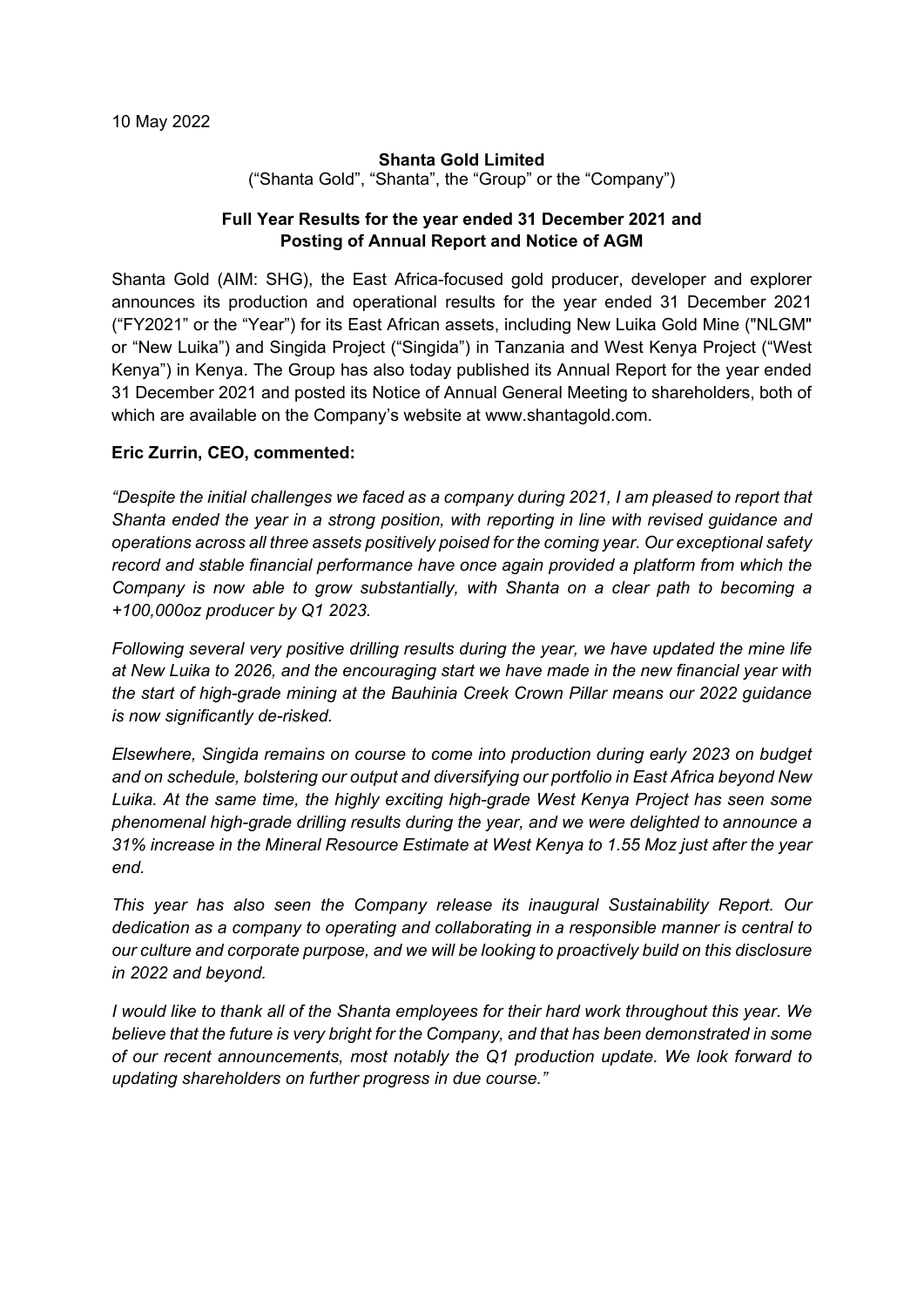#### **Shanta Gold Limited**

("Shanta Gold", "Shanta", the "Group" or the "Company")

## **Full Year Results for the year ended 31 December 2021 and Posting of Annual Report and Notice of AGM**

Shanta Gold (AIM: SHG), the East Africa-focused gold producer, developer and explorer announces its production and operational results for the year ended 31 December 2021 ("FY2021" or the "Year") for its East African assets, including New Luika Gold Mine ("NLGM" or "New Luika") and Singida Project ("Singida") in Tanzania and West Kenya Project ("West Kenya") in Kenya. The Group has also today published its Annual Report for the year ended 31 December 2021 and posted its Notice of Annual General Meeting to shareholders, both of which are available on the Company's website at www.shantagold.com.

## **Eric Zurrin, CEO, commented:**

*"Despite the initial challenges we faced as a company during 2021, I am pleased to report that Shanta ended the year in a strong position, with reporting in line with revised guidance and operations across all three assets positively poised for the coming year. Our exceptional safety record and stable financial performance have once again provided a platform from which the Company is now able to grow substantially, with Shanta on a clear path to becoming a +100,000oz producer by Q1 2023.* 

*Following several very positive drilling results during the year, we have updated the mine life at New Luika to 2026, and the encouraging start we have made in the new financial year with the start of high-grade mining at the Bauhinia Creek Crown Pillar means our 2022 guidance is now significantly de-risked.* 

*Elsewhere, Singida remains on course to come into production during early 2023 on budget and on schedule, bolstering our output and diversifying our portfolio in East Africa beyond New Luika. At the same time, the highly exciting high-grade West Kenya Project has seen some phenomenal high-grade drilling results during the year, and we were delighted to announce a 31% increase in the Mineral Resource Estimate at West Kenya to 1.55 Moz just after the year end.*

*This year has also seen the Company release its inaugural Sustainability Report. Our dedication as a company to operating and collaborating in a responsible manner is central to our culture and corporate purpose, and we will be looking to proactively build on this disclosure in 2022 and beyond.*

*I would like to thank all of the Shanta employees for their hard work throughout this year. We believe that the future is very bright for the Company, and that has been demonstrated in some of our recent announcements, most notably the Q1 production update. We look forward to updating shareholders on further progress in due course."*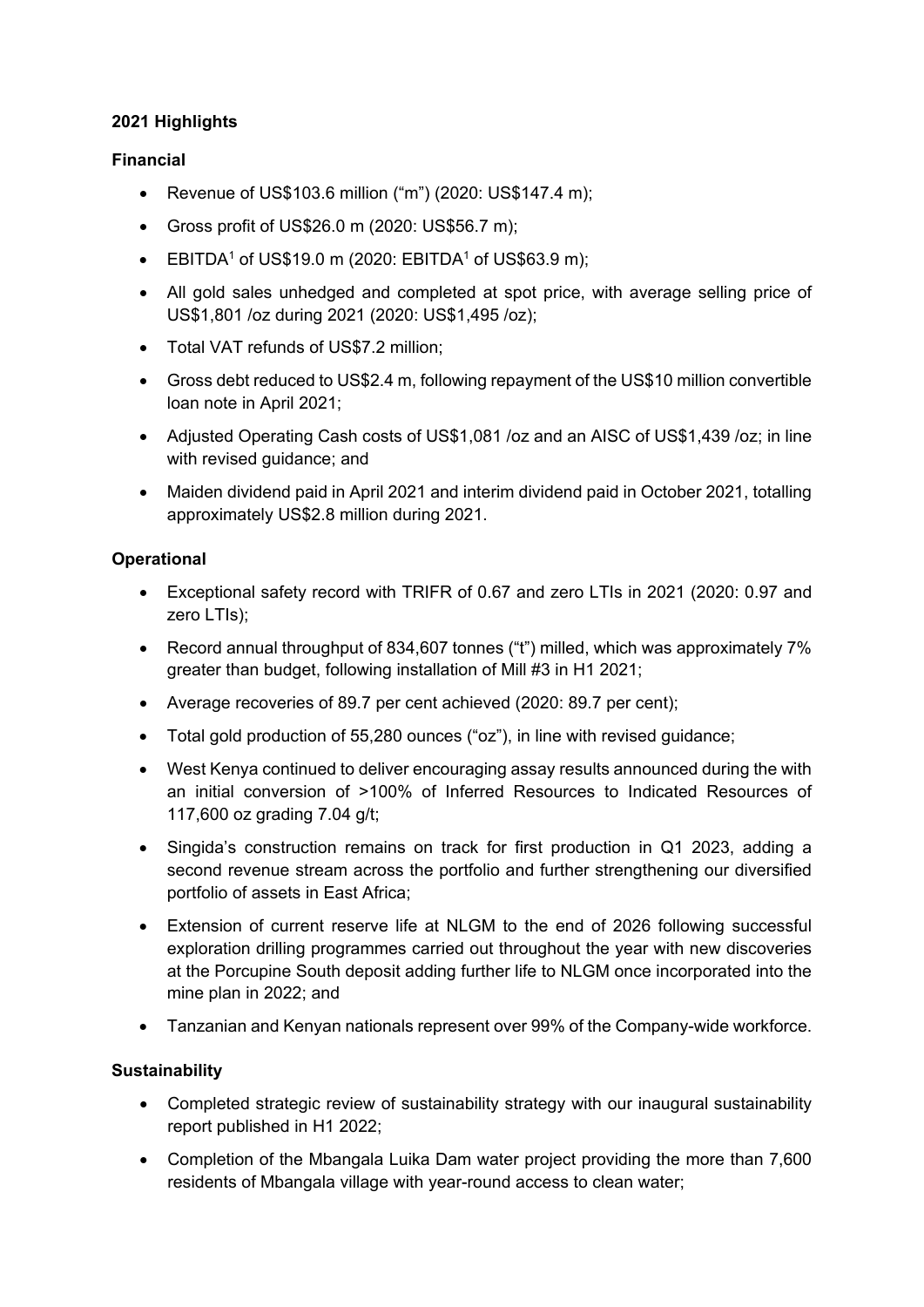## **2021 Highlights**

## **Financial**

- Revenue of US\$103.6 million ("m") (2020: US\$147.4 m);
- Gross profit of US\$26.0 m (2020: US\$56.7 m);
- EBITDA<sup>1</sup> of US\$19.0 m (2020: EBITDA<sup>1</sup> of US\$63.9 m);
- All gold sales unhedged and completed at spot price, with average selling price of US\$1,801 /oz during 2021 (2020: US\$1,495 /oz);
- Total VAT refunds of US\$7.2 million;
- Gross debt reduced to US\$2.4 m, following repayment of the US\$10 million convertible loan note in April 2021;
- Adjusted Operating Cash costs of US\$1,081 /oz and an AISC of US\$1,439 /oz; in line with revised guidance; and
- Maiden dividend paid in April 2021 and interim dividend paid in October 2021, totalling approximately US\$2.8 million during 2021.

## **Operational**

- Exceptional safety record with TRIFR of 0.67 and zero LTIs in 2021 (2020: 0.97 and zero LTIs);
- Record annual throughput of 834,607 tonnes ("t") milled, which was approximately 7% greater than budget, following installation of Mill #3 in H1 2021;
- Average recoveries of 89.7 per cent achieved (2020: 89.7 per cent);
- Total gold production of 55,280 ounces ("oz"), in line with revised guidance;
- West Kenya continued to deliver encouraging assay results announced during the with an initial conversion of >100% of Inferred Resources to Indicated Resources of 117,600 oz grading 7.04 g/t;
- Singida's construction remains on track for first production in Q1 2023, adding a second revenue stream across the portfolio and further strengthening our diversified portfolio of assets in East Africa;
- Extension of current reserve life at NLGM to the end of 2026 following successful exploration drilling programmes carried out throughout the year with new discoveries at the Porcupine South deposit adding further life to NLGM once incorporated into the mine plan in 2022; and
- Tanzanian and Kenyan nationals represent over 99% of the Company-wide workforce.

## **Sustainability**

- Completed strategic review of sustainability strategy with our inaugural sustainability report published in H1 2022;
- Completion of the Mbangala Luika Dam water project providing the more than 7,600 residents of Mbangala village with year-round access to clean water;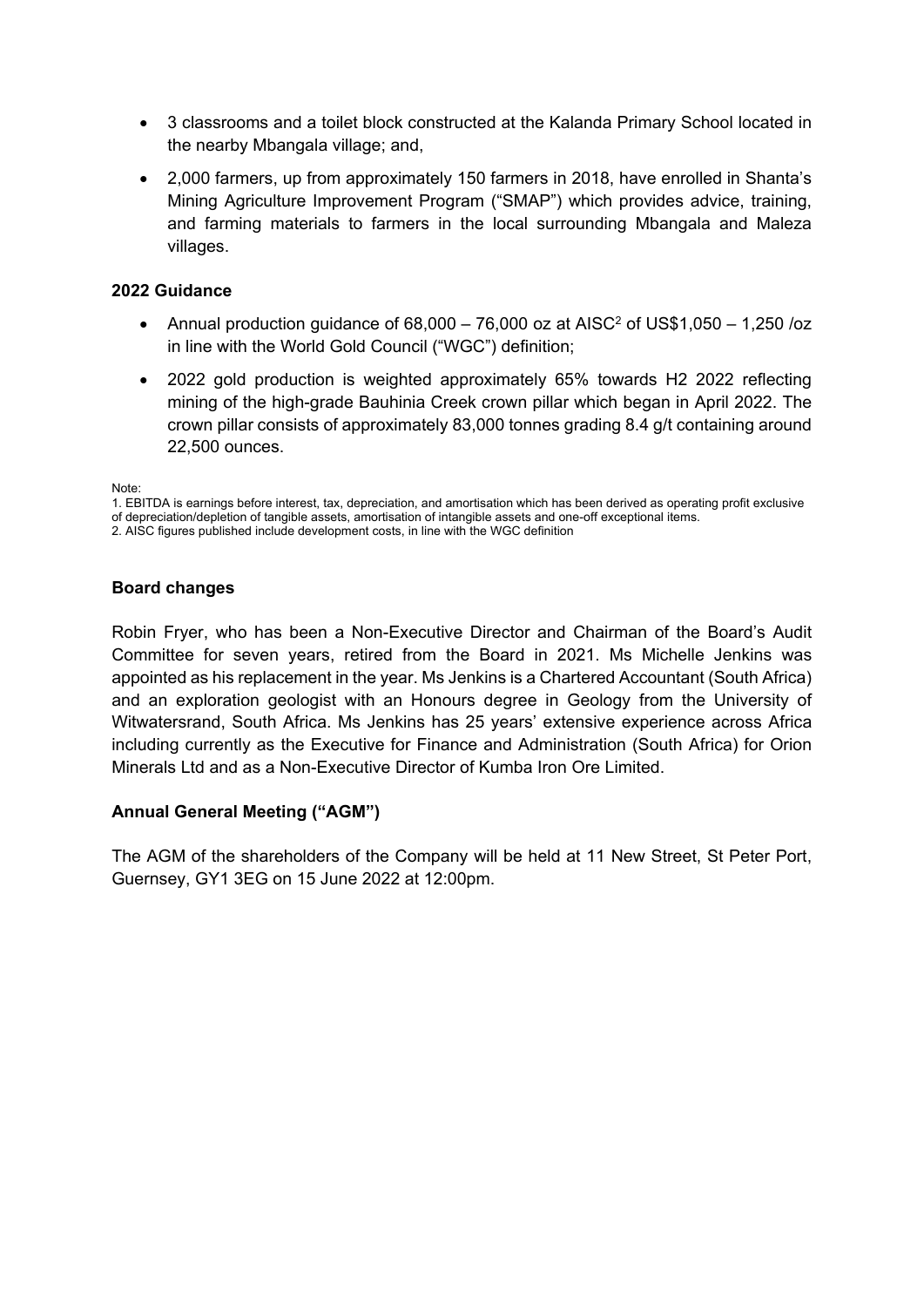- 3 classrooms and a toilet block constructed at the Kalanda Primary School located in the nearby Mbangala village; and,
- 2,000 farmers, up from approximately 150 farmers in 2018, have enrolled in Shanta's Mining Agriculture Improvement Program ("SMAP") which provides advice, training, and farming materials to farmers in the local surrounding Mbangala and Maleza villages.

## **2022 Guidance**

- Annual production guidance of  $68,000 76,000$  oz at AISC<sup>2</sup> of US\$1,050 1,250 /oz in line with the World Gold Council ("WGC") definition;
- 2022 gold production is weighted approximately 65% towards H2 2022 reflecting mining of the high-grade Bauhinia Creek crown pillar which began in April 2022. The crown pillar consists of approximately 83,000 tonnes grading 8.4 g/t containing around 22,500 ounces.

Note:

## **Board changes**

Robin Fryer, who has been a Non-Executive Director and Chairman of the Board's Audit Committee for seven years, retired from the Board in 2021. Ms Michelle Jenkins was appointed as his replacement in the year. Ms Jenkins is a Chartered Accountant (South Africa) and an exploration geologist with an Honours degree in Geology from the University of Witwatersrand, South Africa. Ms Jenkins has 25 years' extensive experience across Africa including currently as the Executive for Finance and Administration (South Africa) for Orion Minerals Ltd and as a Non-Executive Director of Kumba Iron Ore Limited.

## **Annual General Meeting ("AGM")**

The AGM of the shareholders of the Company will be held at 11 New Street, St Peter Port, Guernsey, GY1 3EG on 15 June 2022 at 12:00pm.

<sup>1.</sup> EBITDA is earnings before interest, tax, depreciation, and amortisation which has been derived as operating profit exclusive of depreciation/depletion of tangible assets, amortisation of intangible assets and one-off exceptional items.

<sup>2.</sup> AISC figures published include development costs, in line with the WGC definition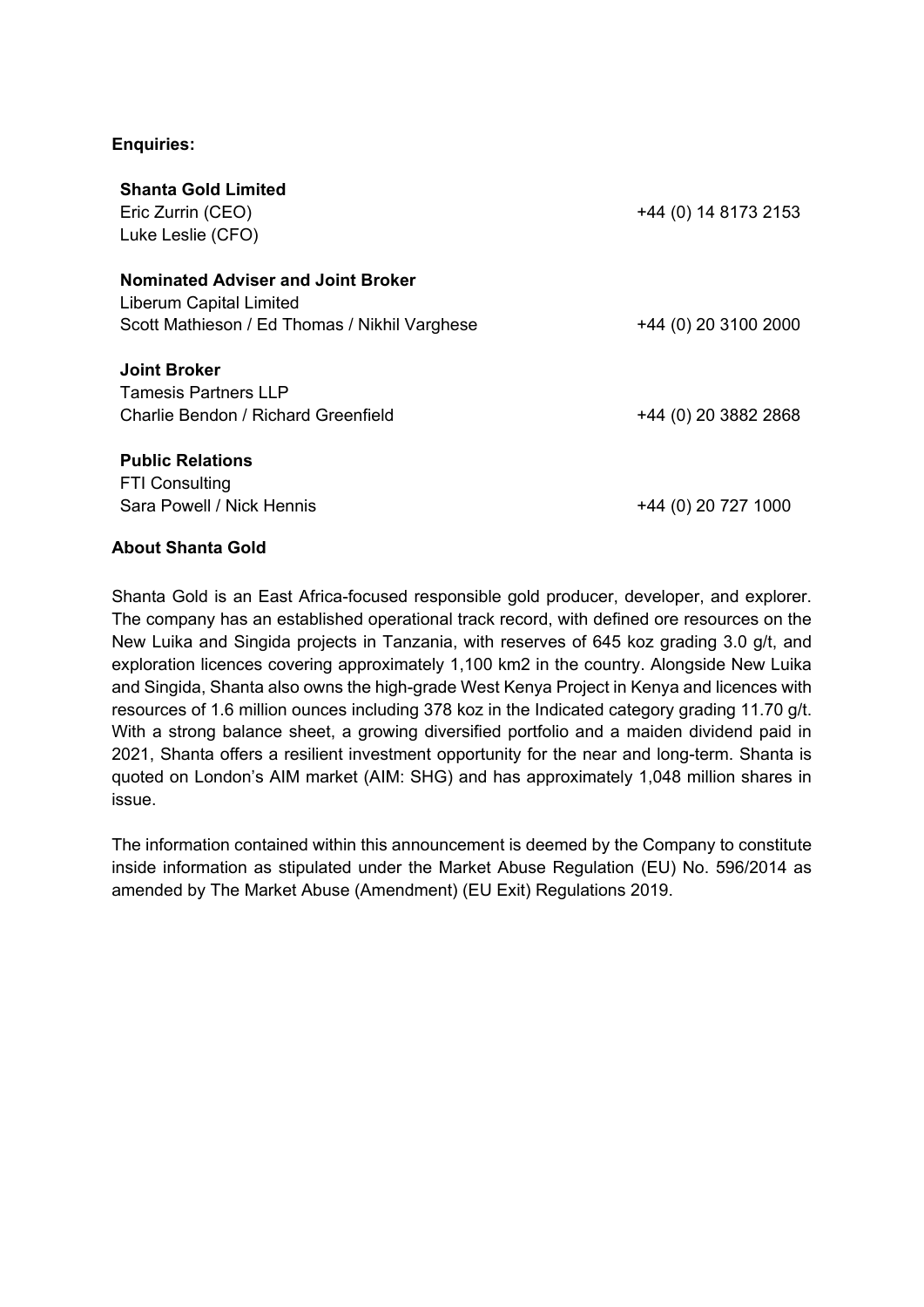## **Enquiries:**

| <b>Shanta Gold Limited</b><br>Eric Zurrin (CEO)<br>Luke Leslie (CFO) | +44 (0) 14 8173 2153 |
|----------------------------------------------------------------------|----------------------|
| <b>Nominated Adviser and Joint Broker</b><br>Liberum Capital Limited |                      |
| Scott Mathieson / Ed Thomas / Nikhil Varghese                        | +44 (0) 20 3100 2000 |
| <b>Joint Broker</b><br><b>Tamesis Partners LLP</b>                   |                      |
| Charlie Bendon / Richard Greenfield                                  | +44 (0) 20 3882 2868 |
| <b>Public Relations</b><br><b>FTI Consulting</b>                     |                      |
| Sara Powell / Nick Hennis                                            | +44 (0) 20 727 1000  |

## **About Shanta Gold**

Shanta Gold is an East Africa-focused responsible gold producer, developer, and explorer. The company has an established operational track record, with defined ore resources on the New Luika and Singida projects in Tanzania, with reserves of 645 koz grading 3.0 g/t, and exploration licences covering approximately 1,100 km2 in the country. Alongside New Luika and Singida, Shanta also owns the high-grade West Kenya Project in Kenya and licences with resources of 1.6 million ounces including 378 koz in the Indicated category grading 11.70 g/t. With a strong balance sheet, a growing diversified portfolio and a maiden dividend paid in 2021, Shanta offers a resilient investment opportunity for the near and long-term. Shanta is quoted on London's AIM market (AIM: SHG) and has approximately 1,048 million shares in issue.

The information contained within this announcement is deemed by the Company to constitute inside information as stipulated under the Market Abuse Regulation (EU) No. 596/2014 as amended by The Market Abuse (Amendment) (EU Exit) Regulations 2019.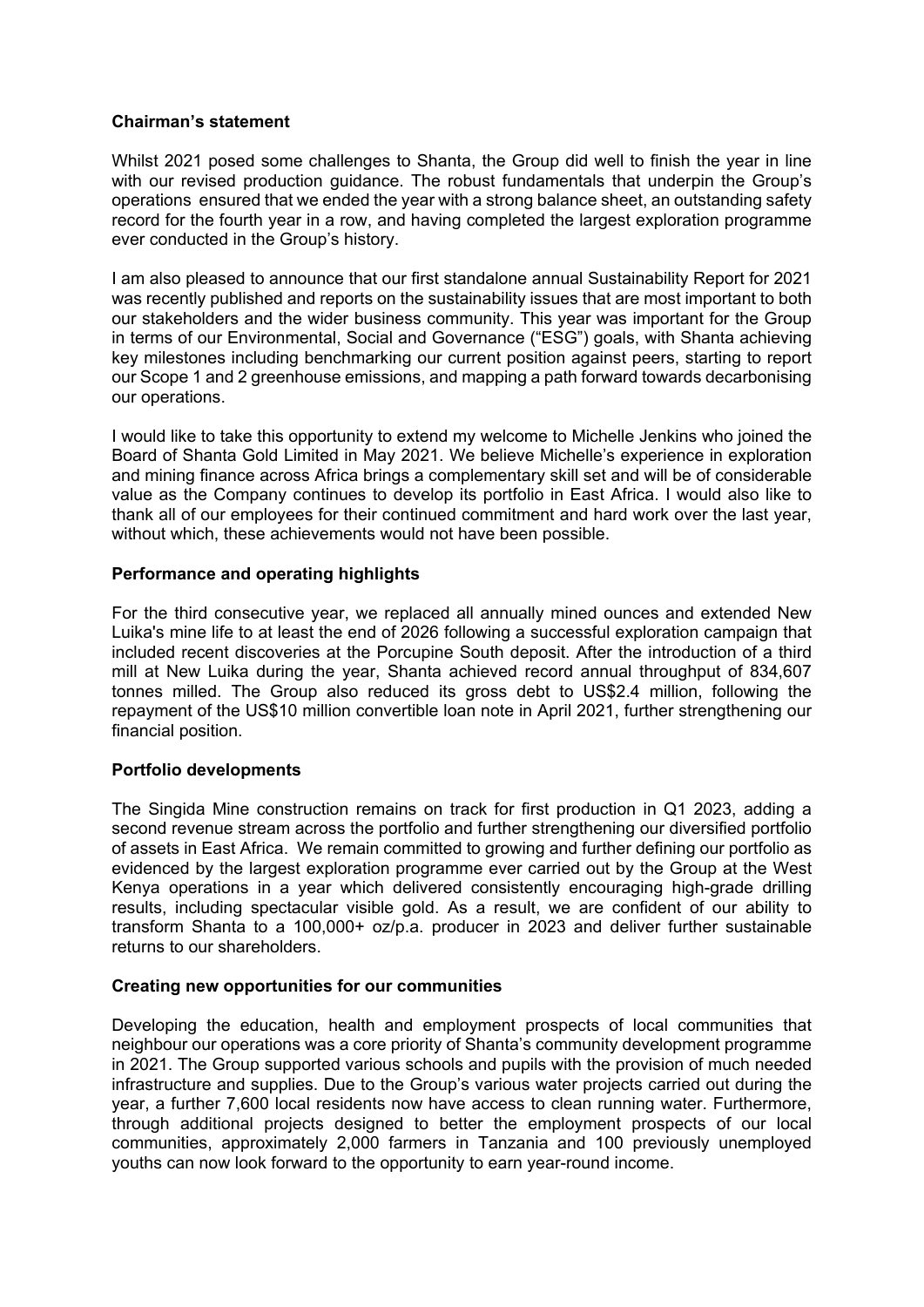#### **Chairman's statement**

Whilst 2021 posed some challenges to Shanta, the Group did well to finish the year in line with our revised production guidance. The robust fundamentals that underpin the Group's operations ensured that we ended the year with a strong balance sheet, an outstanding safety record for the fourth year in a row, and having completed the largest exploration programme ever conducted in the Group's history.

I am also pleased to announce that our first standalone annual Sustainability Report for 2021 was recently published and reports on the sustainability issues that are most important to both our stakeholders and the wider business community. This year was important for the Group in terms of our Environmental, Social and Governance ("ESG") goals, with Shanta achieving key milestones including benchmarking our current position against peers, starting to report our Scope 1 and 2 greenhouse emissions, and mapping a path forward towards decarbonising our operations.

I would like to take this opportunity to extend my welcome to Michelle Jenkins who joined the Board of Shanta Gold Limited in May 2021. We believe Michelle's experience in exploration and mining finance across Africa brings a complementary skill set and will be of considerable value as the Company continues to develop its portfolio in East Africa. I would also like to thank all of our employees for their continued commitment and hard work over the last year, without which, these achievements would not have been possible.

## **Performance and operating highlights**

For the third consecutive year, we replaced all annually mined ounces and extended New Luika's mine life to at least the end of 2026 following a successful exploration campaign that included recent discoveries at the Porcupine South deposit. After the introduction of a third mill at New Luika during the year, Shanta achieved record annual throughput of 834,607 tonnes milled. The Group also reduced its gross debt to US\$2.4 million, following the repayment of the US\$10 million convertible loan note in April 2021, further strengthening our financial position.

## **Portfolio developments**

The Singida Mine construction remains on track for first production in Q1 2023, adding a second revenue stream across the portfolio and further strengthening our diversified portfolio of assets in East Africa. We remain committed to growing and further defining our portfolio as evidenced by the largest exploration programme ever carried out by the Group at the West Kenya operations in a year which delivered consistently encouraging high-grade drilling results, including spectacular visible gold. As a result, we are confident of our ability to transform Shanta to a 100,000+ oz/p.a. producer in 2023 and deliver further sustainable returns to our shareholders.

## **Creating new opportunities for our communities**

Developing the education, health and employment prospects of local communities that neighbour our operations was a core priority of Shanta's community development programme in 2021. The Group supported various schools and pupils with the provision of much needed infrastructure and supplies. Due to the Group's various water projects carried out during the year, a further 7,600 local residents now have access to clean running water. Furthermore, through additional projects designed to better the employment prospects of our local communities, approximately 2,000 farmers in Tanzania and 100 previously unemployed youths can now look forward to the opportunity to earn year-round income.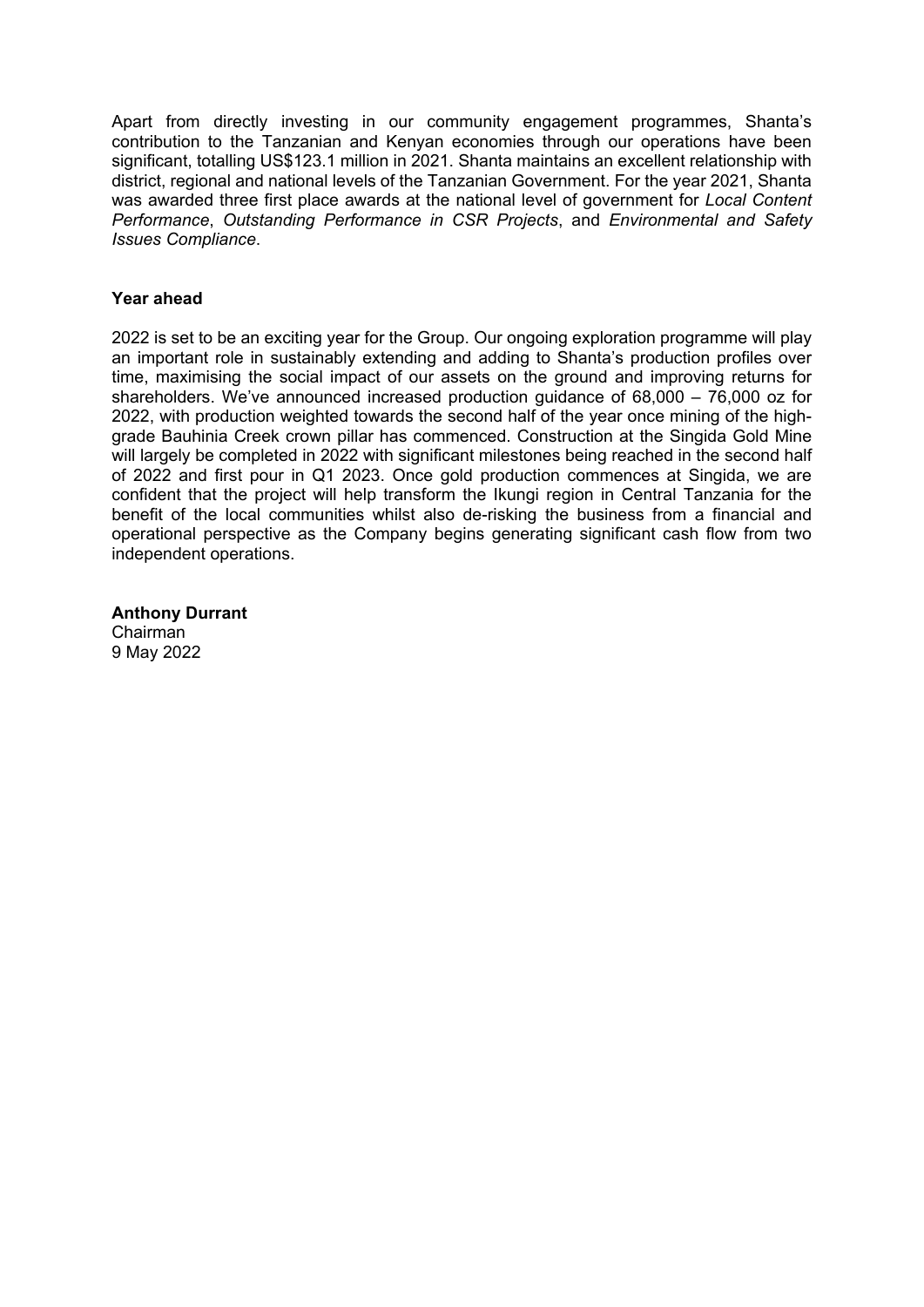Apart from directly investing in our community engagement programmes, Shanta's contribution to the Tanzanian and Kenyan economies through our operations have been significant, totalling US\$123.1 million in 2021. Shanta maintains an excellent relationship with district, regional and national levels of the Tanzanian Government. For the year 2021, Shanta was awarded three first place awards at the national level of government for *Local Content Performance*, *Outstanding Performance in CSR Projects*, and *Environmental and Safety Issues Compliance*.

#### **Year ahead**

2022 is set to be an exciting year for the Group. Our ongoing exploration programme will play an important role in sustainably extending and adding to Shanta's production profiles over time, maximising the social impact of our assets on the ground and improving returns for shareholders. We've announced increased production guidance of 68,000 – 76,000 oz for 2022, with production weighted towards the second half of the year once mining of the highgrade Bauhinia Creek crown pillar has commenced. Construction at the Singida Gold Mine will largely be completed in 2022 with significant milestones being reached in the second half of 2022 and first pour in Q1 2023. Once gold production commences at Singida, we are confident that the project will help transform the Ikungi region in Central Tanzania for the benefit of the local communities whilst also de-risking the business from a financial and operational perspective as the Company begins generating significant cash flow from two independent operations.

**Anthony Durrant**  Chairman 9 May 2022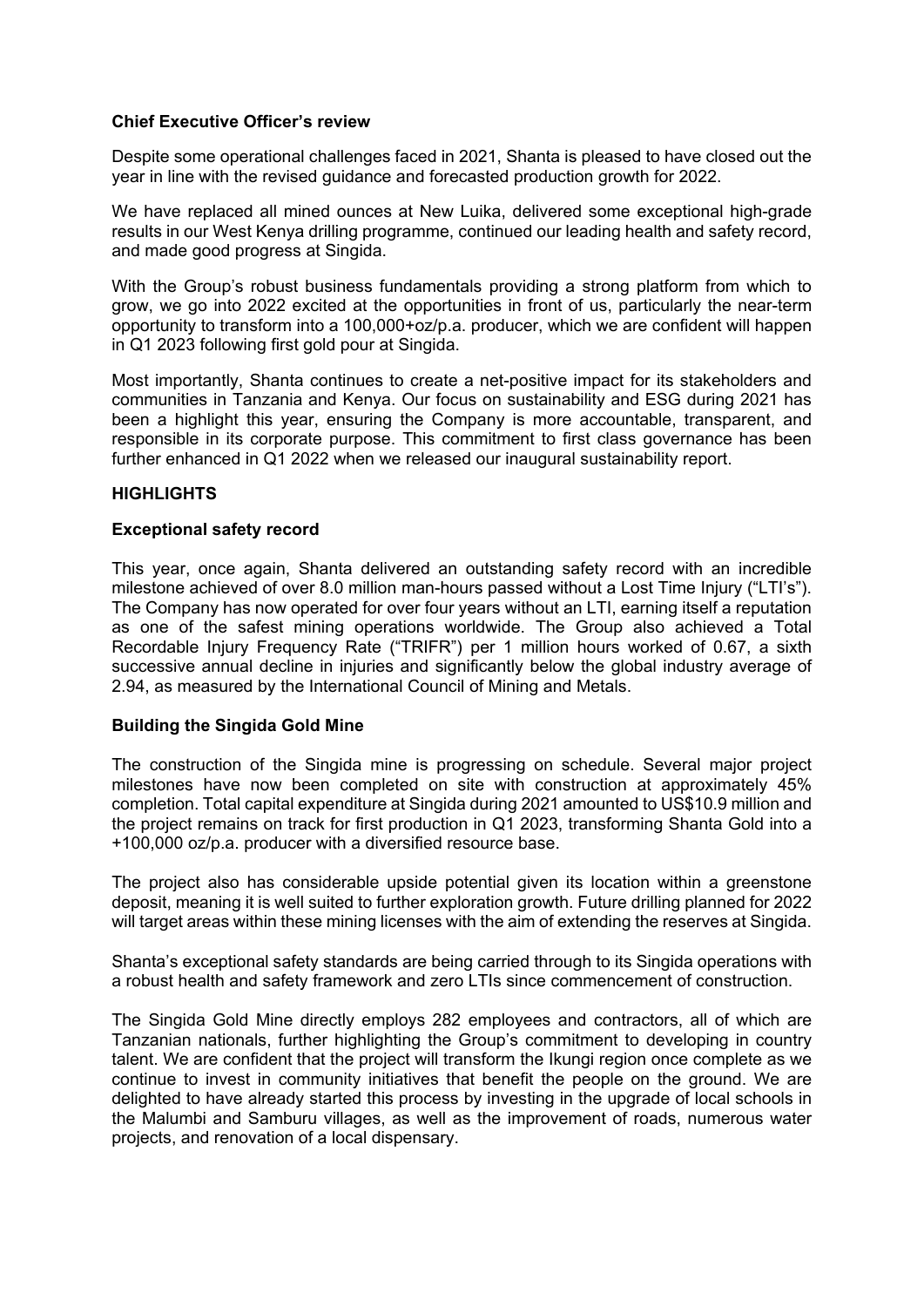#### **Chief Executive Officer's review**

Despite some operational challenges faced in 2021, Shanta is pleased to have closed out the year in line with the revised guidance and forecasted production growth for 2022.

We have replaced all mined ounces at New Luika, delivered some exceptional high-grade results in our West Kenya drilling programme, continued our leading health and safety record, and made good progress at Singida.

With the Group's robust business fundamentals providing a strong platform from which to grow, we go into 2022 excited at the opportunities in front of us, particularly the near-term opportunity to transform into a 100,000+oz/p.a. producer, which we are confident will happen in Q1 2023 following first gold pour at Singida.

Most importantly, Shanta continues to create a net-positive impact for its stakeholders and communities in Tanzania and Kenya. Our focus on sustainability and ESG during 2021 has been a highlight this year, ensuring the Company is more accountable, transparent, and responsible in its corporate purpose. This commitment to first class governance has been further enhanced in Q1 2022 when we released our inaugural sustainability report.

#### **HIGHLIGHTS**

#### **Exceptional safety record**

This year, once again, Shanta delivered an outstanding safety record with an incredible milestone achieved of over 8.0 million man-hours passed without a Lost Time Injury ("LTI's"). The Company has now operated for over four years without an LTI, earning itself a reputation as one of the safest mining operations worldwide. The Group also achieved a Total Recordable Injury Frequency Rate ("TRIFR") per 1 million hours worked of 0.67, a sixth successive annual decline in injuries and significantly below the global industry average of 2.94, as measured by the International Council of Mining and Metals.

#### **Building the Singida Gold Mine**

The construction of the Singida mine is progressing on schedule. Several major project milestones have now been completed on site with construction at approximately 45% completion. Total capital expenditure at Singida during 2021 amounted to US\$10.9 million and the project remains on track for first production in Q1 2023, transforming Shanta Gold into a +100,000 oz/p.a. producer with a diversified resource base.

The project also has considerable upside potential given its location within a greenstone deposit, meaning it is well suited to further exploration growth. Future drilling planned for 2022 will target areas within these mining licenses with the aim of extending the reserves at Singida.

Shanta's exceptional safety standards are being carried through to its Singida operations with a robust health and safety framework and zero LTIs since commencement of construction.

The Singida Gold Mine directly employs 282 employees and contractors, all of which are Tanzanian nationals, further highlighting the Group's commitment to developing in country talent. We are confident that the project will transform the Ikungi region once complete as we continue to invest in community initiatives that benefit the people on the ground. We are delighted to have already started this process by investing in the upgrade of local schools in the Malumbi and Samburu villages, as well as the improvement of roads, numerous water projects, and renovation of a local dispensary.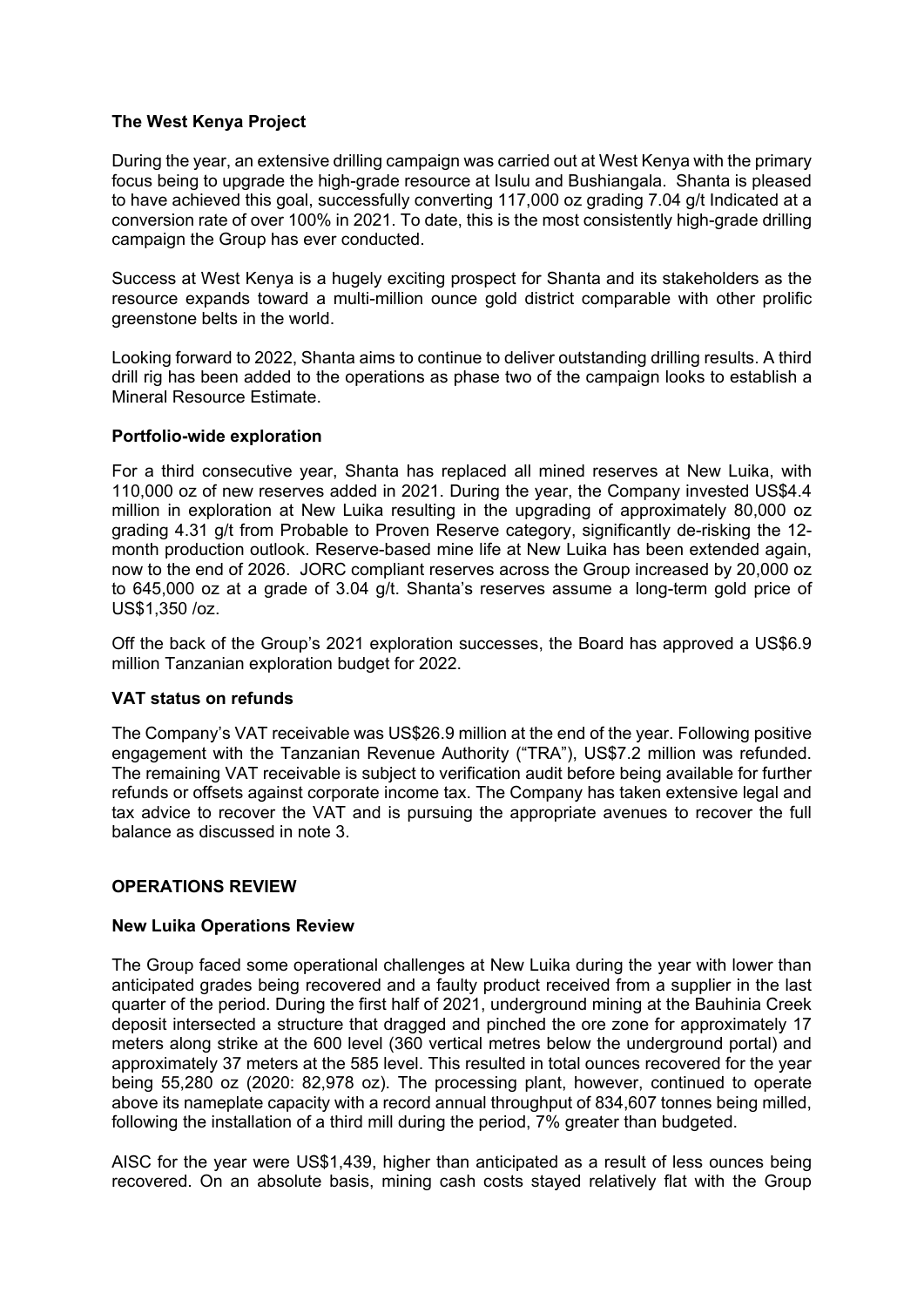#### **The West Kenya Project**

During the year, an extensive drilling campaign was carried out at West Kenya with the primary focus being to upgrade the high-grade resource at Isulu and Bushiangala. Shanta is pleased to have achieved this goal, successfully converting 117,000 oz grading 7.04 g/t Indicated at a conversion rate of over 100% in 2021. To date, this is the most consistently high-grade drilling campaign the Group has ever conducted.

Success at West Kenya is a hugely exciting prospect for Shanta and its stakeholders as the resource expands toward a multi-million ounce gold district comparable with other prolific greenstone belts in the world.

Looking forward to 2022, Shanta aims to continue to deliver outstanding drilling results. A third drill rig has been added to the operations as phase two of the campaign looks to establish a Mineral Resource Estimate.

#### **Portfolio-wide exploration**

For a third consecutive year, Shanta has replaced all mined reserves at New Luika, with 110,000 oz of new reserves added in 2021. During the year, the Company invested US\$4.4 million in exploration at New Luika resulting in the upgrading of approximately 80,000 oz grading 4.31 g/t from Probable to Proven Reserve category, significantly de-risking the 12 month production outlook. Reserve-based mine life at New Luika has been extended again, now to the end of 2026. JORC compliant reserves across the Group increased by 20,000 oz to 645,000 oz at a grade of 3.04 g/t. Shanta's reserves assume a long-term gold price of US\$1,350 /oz.

Off the back of the Group's 2021 exploration successes, the Board has approved a US\$6.9 million Tanzanian exploration budget for 2022.

## **VAT status on refunds**

The Company's VAT receivable was US\$26.9 million at the end of the year. Following positive engagement with the Tanzanian Revenue Authority ("TRA"), US\$7.2 million was refunded. The remaining VAT receivable is subject to verification audit before being available for further refunds or offsets against corporate income tax. The Company has taken extensive legal and tax advice to recover the VAT and is pursuing the appropriate avenues to recover the full balance as discussed in note 3.

## **OPERATIONS REVIEW**

#### **New Luika Operations Review**

The Group faced some operational challenges at New Luika during the year with lower than anticipated grades being recovered and a faulty product received from a supplier in the last quarter of the period. During the first half of 2021, underground mining at the Bauhinia Creek deposit intersected a structure that dragged and pinched the ore zone for approximately 17 meters along strike at the 600 level (360 vertical metres below the underground portal) and approximately 37 meters at the 585 level. This resulted in total ounces recovered for the year being 55,280 oz (2020: 82,978 oz). The processing plant, however, continued to operate above its nameplate capacity with a record annual throughput of 834,607 tonnes being milled, following the installation of a third mill during the period, 7% greater than budgeted.

AISC for the year were US\$1,439, higher than anticipated as a result of less ounces being recovered. On an absolute basis, mining cash costs stayed relatively flat with the Group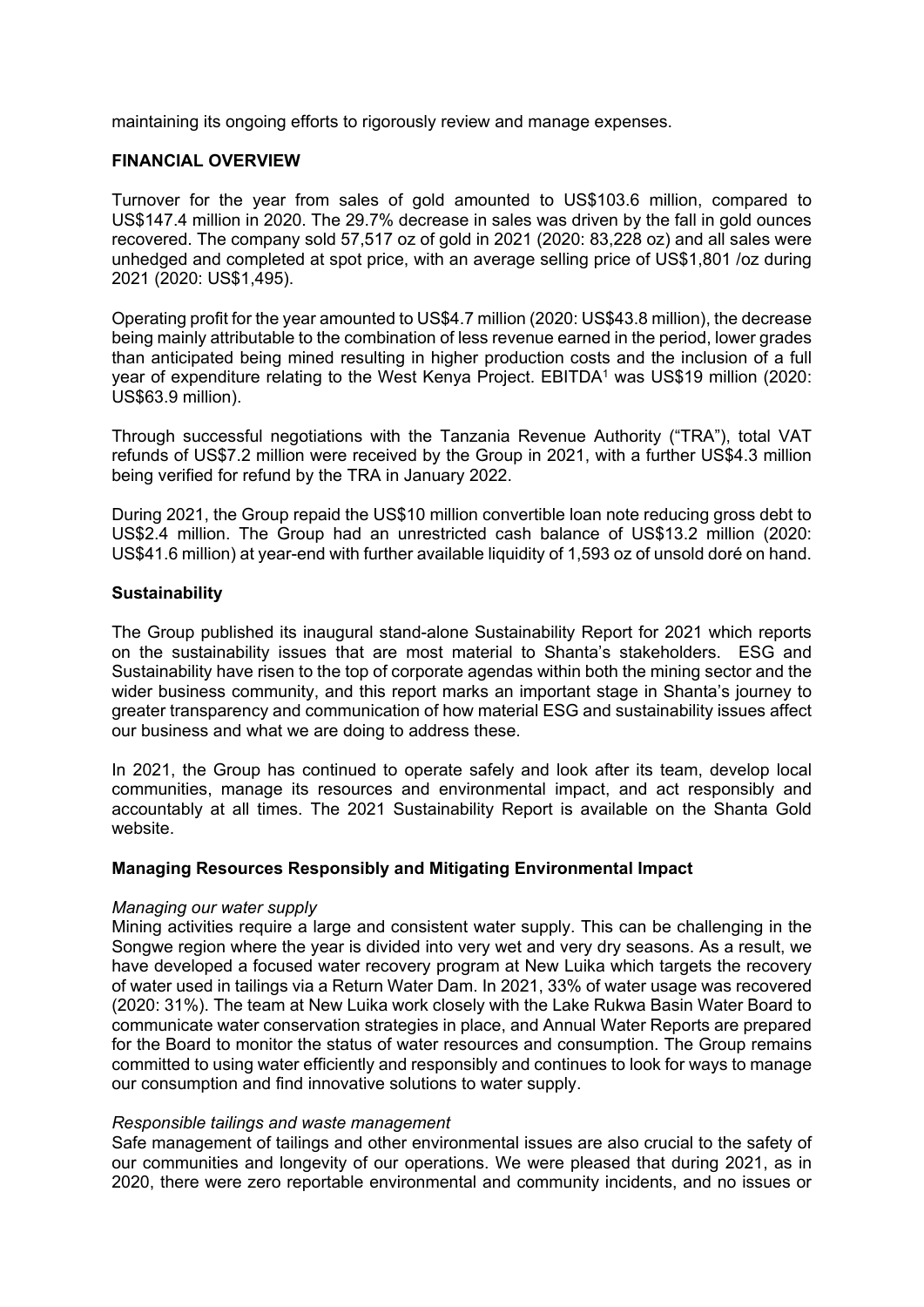maintaining its ongoing efforts to rigorously review and manage expenses.

## **FINANCIAL OVERVIEW**

Turnover for the year from sales of gold amounted to US\$103.6 million, compared to US\$147.4 million in 2020. The 29.7% decrease in sales was driven by the fall in gold ounces recovered. The company sold 57,517 oz of gold in 2021 (2020: 83,228 oz) and all sales were unhedged and completed at spot price, with an average selling price of US\$1,801 /oz during 2021 (2020: US\$1,495).

Operating profit for the year amounted to US\$4.7 million (2020: US\$43.8 million), the decrease being mainly attributable to the combination of less revenue earned in the period, lower grades than anticipated being mined resulting in higher production costs and the inclusion of a full year of expenditure relating to the West Kenya Project. EBITDA<sup>1</sup> was US\$19 million (2020: US\$63.9 million).

Through successful negotiations with the Tanzania Revenue Authority ("TRA"), total VAT refunds of US\$7.2 million were received by the Group in 2021, with a further US\$4.3 million being verified for refund by the TRA in January 2022.

During 2021, the Group repaid the US\$10 million convertible loan note reducing gross debt to US\$2.4 million. The Group had an unrestricted cash balance of US\$13.2 million (2020: US\$41.6 million) at year-end with further available liquidity of 1,593 oz of unsold doré on hand.

#### **Sustainability**

The Group published its inaugural stand-alone Sustainability Report for 2021 which reports on the sustainability issues that are most material to Shanta's stakeholders. ESG and Sustainability have risen to the top of corporate agendas within both the mining sector and the wider business community, and this report marks an important stage in Shanta's journey to greater transparency and communication of how material ESG and sustainability issues affect our business and what we are doing to address these.

In 2021, the Group has continued to operate safely and look after its team, develop local communities, manage its resources and environmental impact, and act responsibly and accountably at all times. The 2021 Sustainability Report is available on the Shanta Gold website.

#### **Managing Resources Responsibly and Mitigating Environmental Impact**

#### *Managing our water supply*

Mining activities require a large and consistent water supply. This can be challenging in the Songwe region where the year is divided into very wet and very dry seasons. As a result, we have developed a focused water recovery program at New Luika which targets the recovery of water used in tailings via a Return Water Dam. In 2021, 33% of water usage was recovered (2020: 31%). The team at New Luika work closely with the Lake Rukwa Basin Water Board to communicate water conservation strategies in place, and Annual Water Reports are prepared for the Board to monitor the status of water resources and consumption. The Group remains committed to using water efficiently and responsibly and continues to look for ways to manage our consumption and find innovative solutions to water supply.

#### *Responsible tailings and waste management*

Safe management of tailings and other environmental issues are also crucial to the safety of our communities and longevity of our operations. We were pleased that during 2021, as in 2020, there were zero reportable environmental and community incidents, and no issues or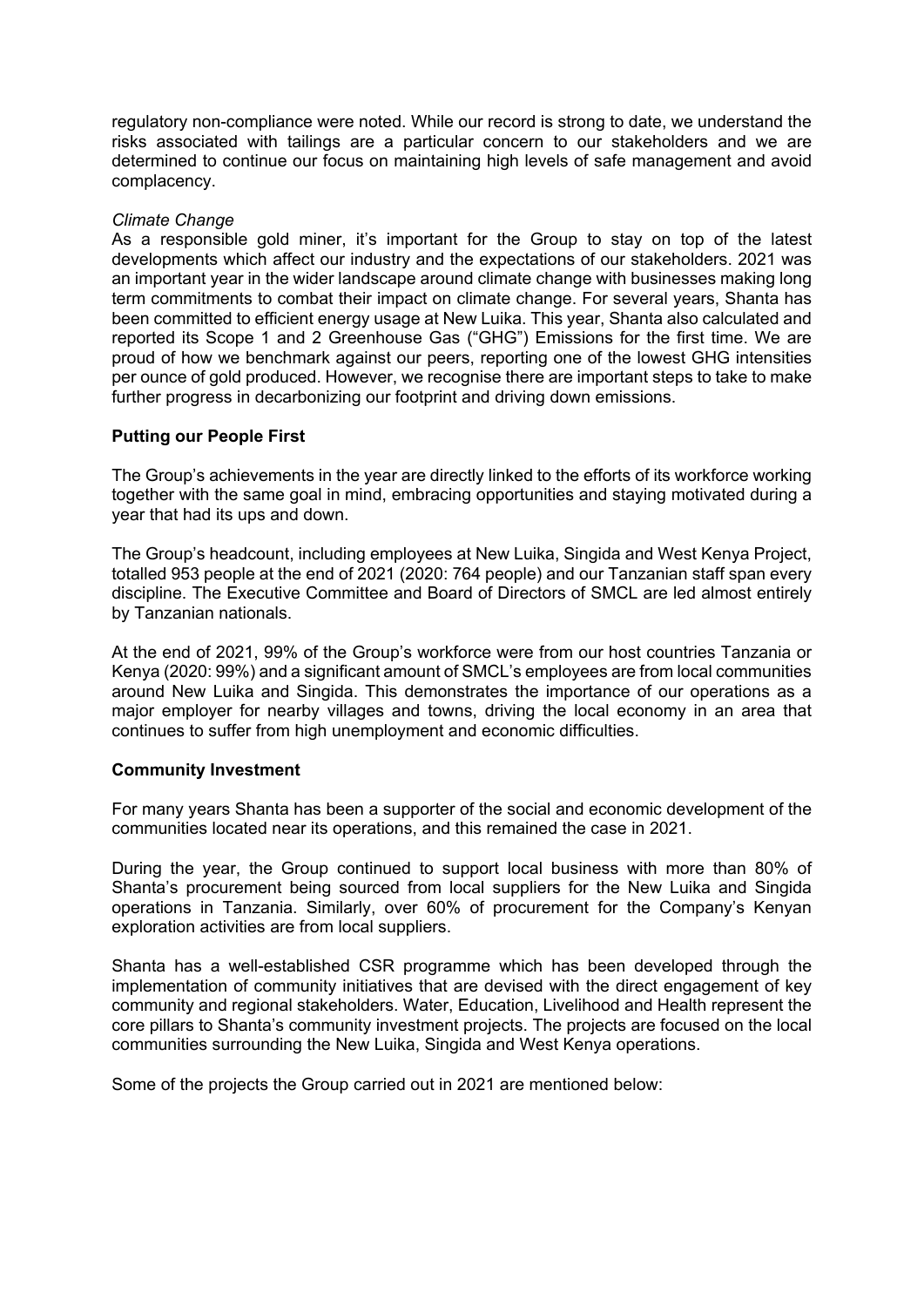regulatory non-compliance were noted. While our record is strong to date, we understand the risks associated with tailings are a particular concern to our stakeholders and we are determined to continue our focus on maintaining high levels of safe management and avoid complacency.

#### *Climate Change*

As a responsible gold miner, it's important for the Group to stay on top of the latest developments which affect our industry and the expectations of our stakeholders. 2021 was an important year in the wider landscape around climate change with businesses making long term commitments to combat their impact on climate change. For several years, Shanta has been committed to efficient energy usage at New Luika. This year, Shanta also calculated and reported its Scope 1 and 2 Greenhouse Gas ("GHG") Emissions for the first time. We are proud of how we benchmark against our peers, reporting one of the lowest GHG intensities per ounce of gold produced. However, we recognise there are important steps to take to make further progress in decarbonizing our footprint and driving down emissions.

#### **Putting our People First**

The Group's achievements in the year are directly linked to the efforts of its workforce working together with the same goal in mind, embracing opportunities and staying motivated during a year that had its ups and down.

The Group's headcount, including employees at New Luika, Singida and West Kenya Project, totalled 953 people at the end of 2021 (2020: 764 people) and our Tanzanian staff span every discipline. The Executive Committee and Board of Directors of SMCL are led almost entirely by Tanzanian nationals.

At the end of 2021, 99% of the Group's workforce were from our host countries Tanzania or Kenya (2020: 99%) and a significant amount of SMCL's employees are from local communities around New Luika and Singida. This demonstrates the importance of our operations as a major employer for nearby villages and towns, driving the local economy in an area that continues to suffer from high unemployment and economic difficulties.

#### **Community Investment**

For many years Shanta has been a supporter of the social and economic development of the communities located near its operations, and this remained the case in 2021.

During the year, the Group continued to support local business with more than 80% of Shanta's procurement being sourced from local suppliers for the New Luika and Singida operations in Tanzania. Similarly, over 60% of procurement for the Company's Kenyan exploration activities are from local suppliers.

Shanta has a well-established CSR programme which has been developed through the implementation of community initiatives that are devised with the direct engagement of key community and regional stakeholders. Water, Education, Livelihood and Health represent the core pillars to Shanta's community investment projects. The projects are focused on the local communities surrounding the New Luika, Singida and West Kenya operations.

Some of the projects the Group carried out in 2021 are mentioned below: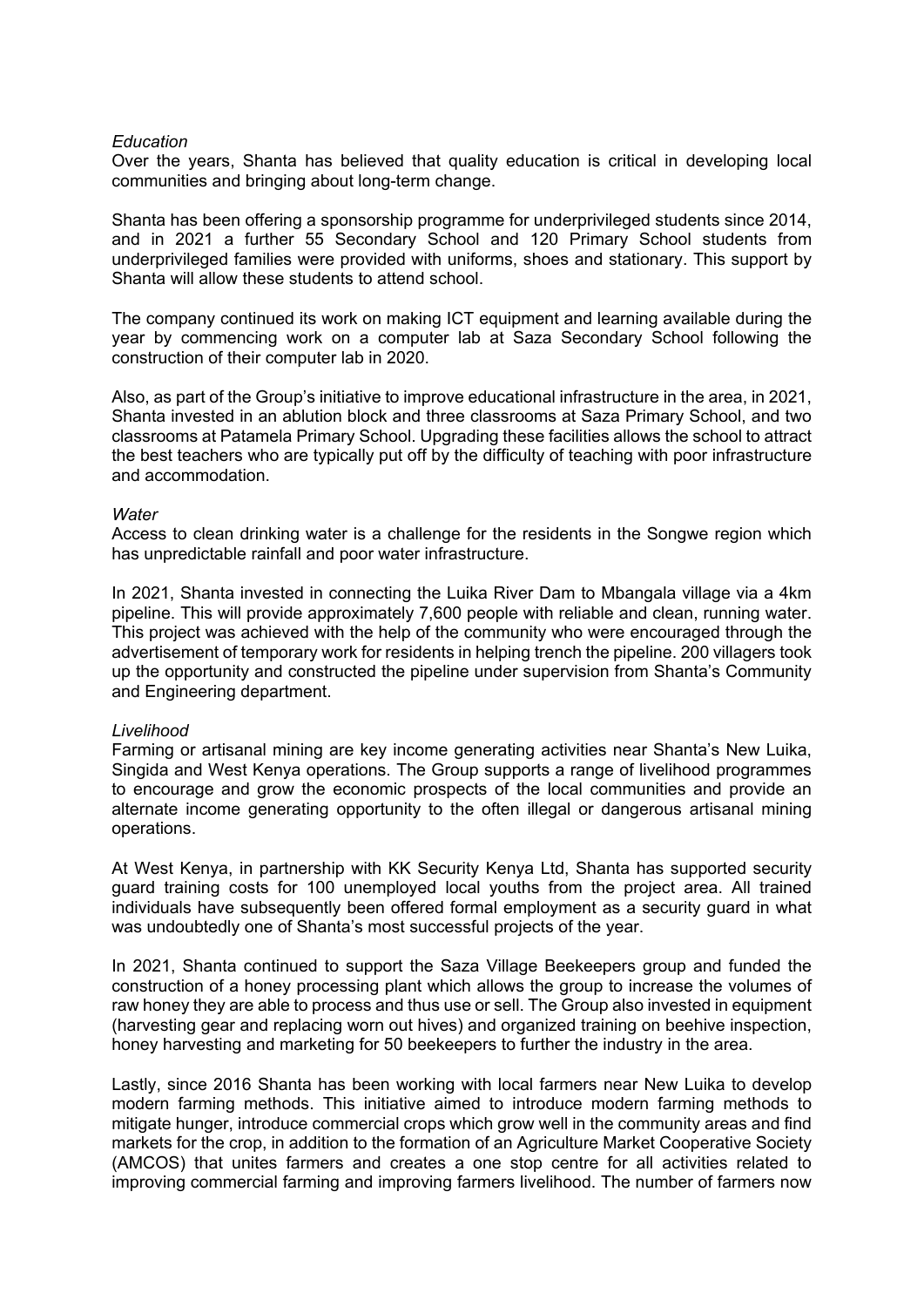#### *Education*

Over the years, Shanta has believed that quality education is critical in developing local communities and bringing about long-term change.

Shanta has been offering a sponsorship programme for underprivileged students since 2014, and in 2021 a further 55 Secondary School and 120 Primary School students from underprivileged families were provided with uniforms, shoes and stationary. This support by Shanta will allow these students to attend school.

The company continued its work on making ICT equipment and learning available during the year by commencing work on a computer lab at Saza Secondary School following the construction of their computer lab in 2020.

Also, as part of the Group's initiative to improve educational infrastructure in the area, in 2021, Shanta invested in an ablution block and three classrooms at Saza Primary School, and two classrooms at Patamela Primary School. Upgrading these facilities allows the school to attract the best teachers who are typically put off by the difficulty of teaching with poor infrastructure and accommodation.

#### *Water*

Access to clean drinking water is a challenge for the residents in the Songwe region which has unpredictable rainfall and poor water infrastructure.

In 2021, Shanta invested in connecting the Luika River Dam to Mbangala village via a 4km pipeline. This will provide approximately 7,600 people with reliable and clean, running water. This project was achieved with the help of the community who were encouraged through the advertisement of temporary work for residents in helping trench the pipeline. 200 villagers took up the opportunity and constructed the pipeline under supervision from Shanta's Community and Engineering department.

#### *Livelihood*

Farming or artisanal mining are key income generating activities near Shanta's New Luika, Singida and West Kenya operations. The Group supports a range of livelihood programmes to encourage and grow the economic prospects of the local communities and provide an alternate income generating opportunity to the often illegal or dangerous artisanal mining operations.

At West Kenya, in partnership with KK Security Kenya Ltd, Shanta has supported security guard training costs for 100 unemployed local youths from the project area. All trained individuals have subsequently been offered formal employment as a security guard in what was undoubtedly one of Shanta's most successful projects of the year.

In 2021, Shanta continued to support the Saza Village Beekeepers group and funded the construction of a honey processing plant which allows the group to increase the volumes of raw honey they are able to process and thus use or sell. The Group also invested in equipment (harvesting gear and replacing worn out hives) and organized training on beehive inspection, honey harvesting and marketing for 50 beekeepers to further the industry in the area.

Lastly, since 2016 Shanta has been working with local farmers near New Luika to develop modern farming methods. This initiative aimed to introduce modern farming methods to mitigate hunger, introduce commercial crops which grow well in the community areas and find markets for the crop, in addition to the formation of an Agriculture Market Cooperative Society (AMCOS) that unites farmers and creates a one stop centre for all activities related to improving commercial farming and improving farmers livelihood. The number of farmers now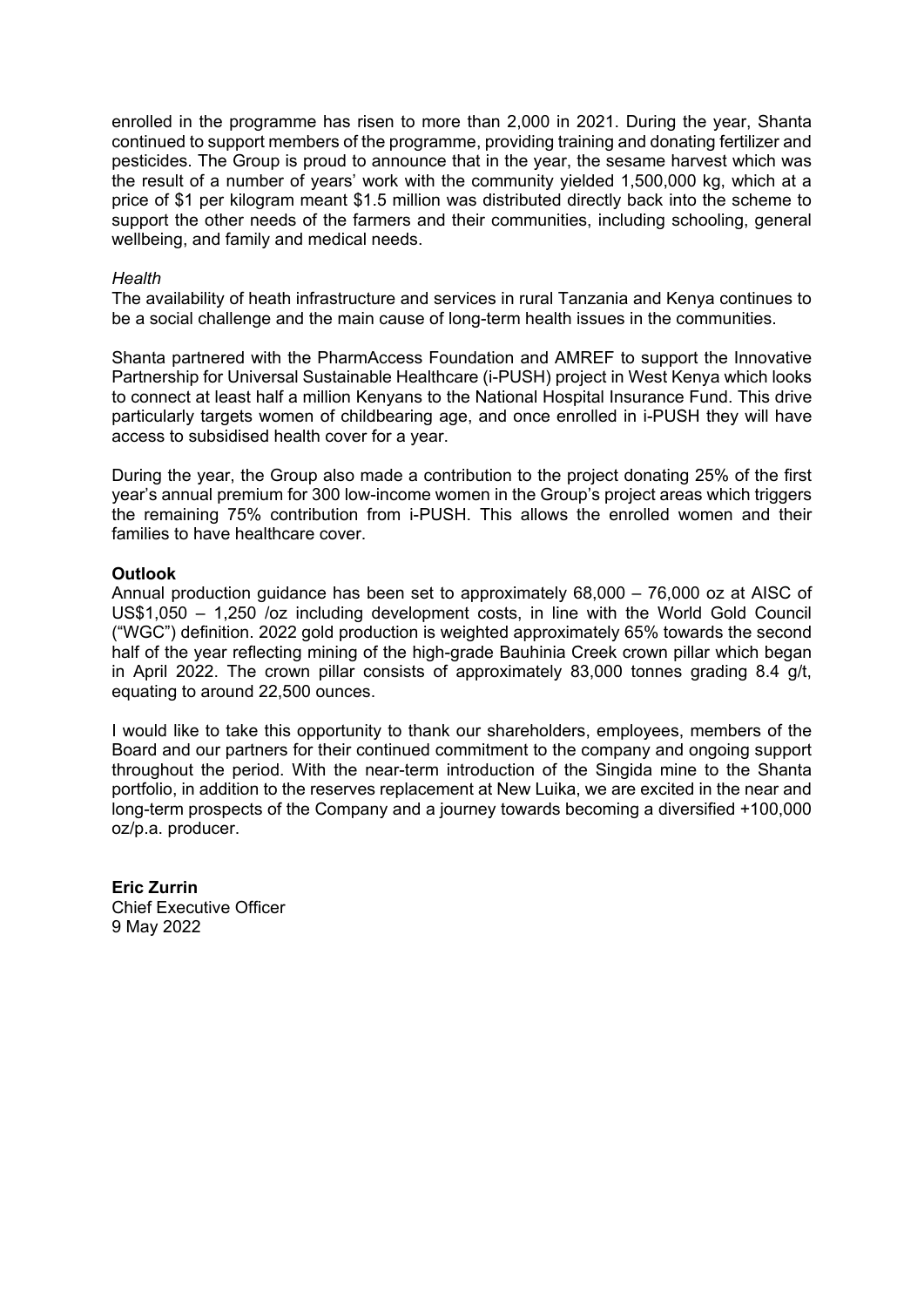enrolled in the programme has risen to more than 2,000 in 2021. During the year, Shanta continued to support members of the programme, providing training and donating fertilizer and pesticides. The Group is proud to announce that in the year, the sesame harvest which was the result of a number of years' work with the community yielded 1,500,000 kg, which at a price of \$1 per kilogram meant \$1.5 million was distributed directly back into the scheme to support the other needs of the farmers and their communities, including schooling, general wellbeing, and family and medical needs.

#### *Health*

The availability of heath infrastructure and services in rural Tanzania and Kenya continues to be a social challenge and the main cause of long-term health issues in the communities.

Shanta partnered with the PharmAccess Foundation and AMREF to support the Innovative Partnership for Universal Sustainable Healthcare (i-PUSH) project in West Kenya which looks to connect at least half a million Kenyans to the National Hospital Insurance Fund. This drive particularly targets women of childbearing age, and once enrolled in i-PUSH they will have access to subsidised health cover for a year.

During the year, the Group also made a contribution to the project donating 25% of the first year's annual premium for 300 low-income women in the Group's project areas which triggers the remaining 75% contribution from i-PUSH. This allows the enrolled women and their families to have healthcare cover.

#### **Outlook**

Annual production guidance has been set to approximately 68,000 – 76,000 oz at AISC of US\$1,050 – 1,250 /oz including development costs, in line with the World Gold Council ("WGC") definition. 2022 gold production is weighted approximately 65% towards the second half of the year reflecting mining of the high-grade Bauhinia Creek crown pillar which began in April 2022. The crown pillar consists of approximately 83,000 tonnes grading 8.4 g/t, equating to around 22,500 ounces.

I would like to take this opportunity to thank our shareholders, employees, members of the Board and our partners for their continued commitment to the company and ongoing support throughout the period. With the near-term introduction of the Singida mine to the Shanta portfolio, in addition to the reserves replacement at New Luika, we are excited in the near and long-term prospects of the Company and a journey towards becoming a diversified +100,000 oz/p.a. producer.

**Eric Zurrin** Chief Executive Officer 9 May 2022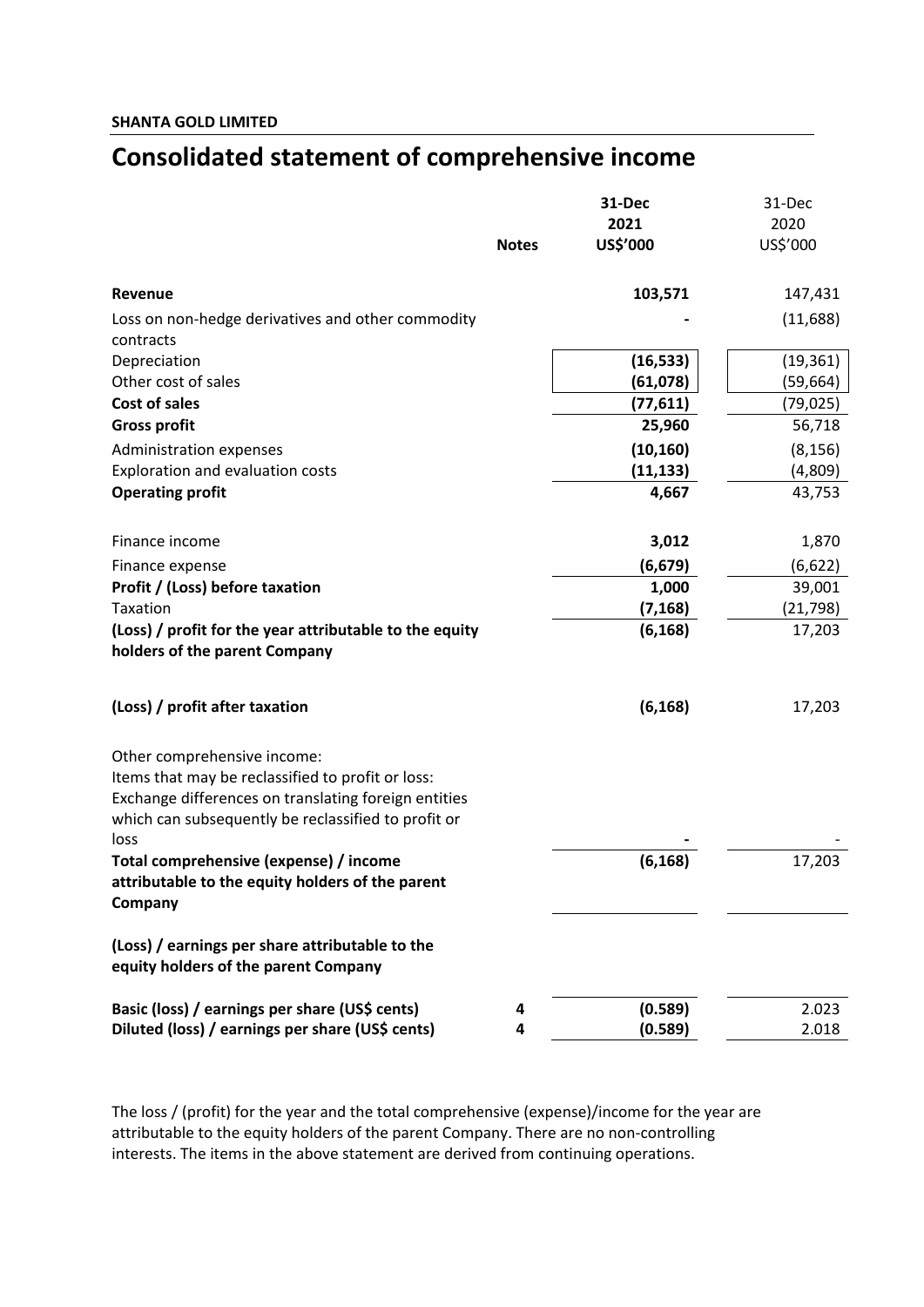## **Consolidated statement of comprehensive income**

|                                                                                                                                                                                                         |              | 31-Dec                | 31-Dec             |
|---------------------------------------------------------------------------------------------------------------------------------------------------------------------------------------------------------|--------------|-----------------------|--------------------|
|                                                                                                                                                                                                         |              | 2021                  | 2020               |
|                                                                                                                                                                                                         | <b>Notes</b> | US\$'000              | US\$'000           |
| Revenue                                                                                                                                                                                                 |              | 103,571               | 147,431            |
| Loss on non-hedge derivatives and other commodity                                                                                                                                                       |              |                       | (11,688)           |
| contracts                                                                                                                                                                                               |              |                       |                    |
| Depreciation<br>Other cost of sales                                                                                                                                                                     |              | (16, 533)             | (19, 361)          |
| Cost of sales                                                                                                                                                                                           |              | (61,078)<br>(77, 611) | (59, 664)          |
|                                                                                                                                                                                                         |              | 25,960                | (79,025)<br>56,718 |
| <b>Gross profit</b>                                                                                                                                                                                     |              |                       |                    |
| Administration expenses                                                                                                                                                                                 |              | (10, 160)             | (8, 156)           |
| Exploration and evaluation costs                                                                                                                                                                        |              | (11, 133)             | (4,809)            |
| <b>Operating profit</b>                                                                                                                                                                                 |              | 4,667                 | 43,753             |
| Finance income                                                                                                                                                                                          |              | 3,012                 | 1,870              |
| Finance expense                                                                                                                                                                                         |              | (6, 679)              | (6,622)            |
| Profit / (Loss) before taxation                                                                                                                                                                         |              | 1,000                 | 39,001             |
| Taxation                                                                                                                                                                                                |              | (7, 168)              | (21, 798)          |
| (Loss) / profit for the year attributable to the equity<br>holders of the parent Company                                                                                                                |              | (6, 168)              | 17,203             |
| (Loss) / profit after taxation                                                                                                                                                                          |              | (6, 168)              | 17,203             |
| Other comprehensive income:<br>Items that may be reclassified to profit or loss:<br>Exchange differences on translating foreign entities<br>which can subsequently be reclassified to profit or<br>loss |              |                       |                    |
| Total comprehensive (expense) / income<br>attributable to the equity holders of the parent<br>Company                                                                                                   |              | (6, 168)              | 17,203             |
| (Loss) / earnings per share attributable to the<br>equity holders of the parent Company                                                                                                                 |              |                       |                    |
| Basic (loss) / earnings per share (US\$ cents)                                                                                                                                                          | 4            | (0.589)               | 2.023              |
| Diluted (loss) / earnings per share (US\$ cents)                                                                                                                                                        | 4            | (0.589)               | 2.018              |

The loss / (profit) for the year and the total comprehensive (expense)/income for the year are attributable to the equity holders of the parent Company. There are no non-controlling interests. The items in the above statement are derived from continuing operations.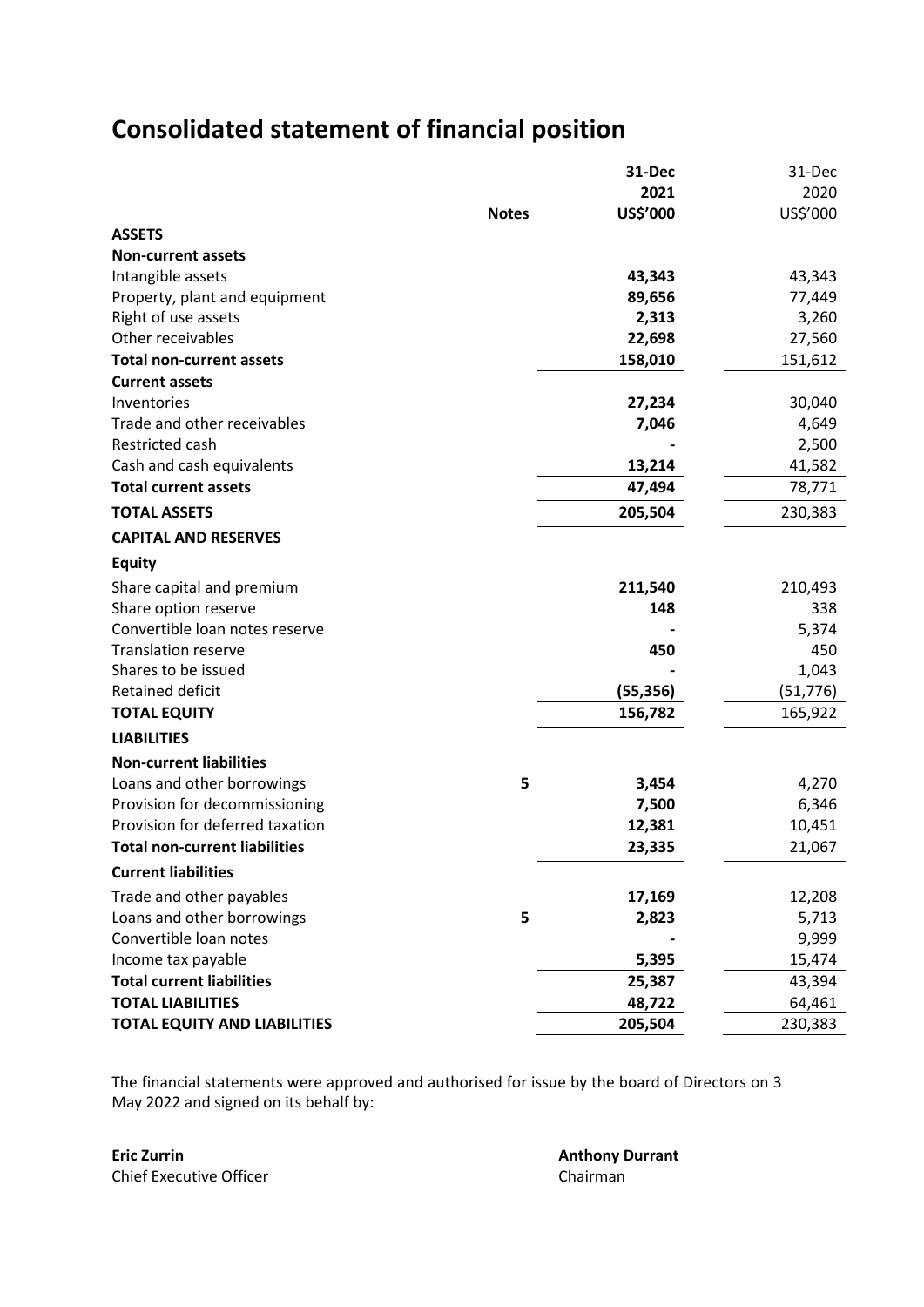# **Consolidated statement of financial position**

|                                      |              | 31-Dec    | 31-Dec    |
|--------------------------------------|--------------|-----------|-----------|
|                                      |              | 2021      | 2020      |
|                                      | <b>Notes</b> | US\$'000  | US\$'000  |
| <b>ASSETS</b>                        |              |           |           |
| <b>Non-current assets</b>            |              |           |           |
| Intangible assets                    |              | 43,343    | 43,343    |
| Property, plant and equipment        |              | 89,656    | 77,449    |
| Right of use assets                  |              | 2,313     | 3,260     |
| Other receivables                    |              | 22,698    | 27,560    |
| <b>Total non-current assets</b>      |              | 158,010   | 151,612   |
| <b>Current assets</b>                |              |           |           |
| Inventories                          |              | 27,234    | 30,040    |
| Trade and other receivables          |              | 7,046     | 4,649     |
| Restricted cash                      |              |           | 2,500     |
| Cash and cash equivalents            |              | 13,214    | 41,582    |
| <b>Total current assets</b>          |              | 47,494    | 78,771    |
| <b>TOTAL ASSETS</b>                  |              | 205,504   | 230,383   |
| <b>CAPITAL AND RESERVES</b>          |              |           |           |
| <b>Equity</b>                        |              |           |           |
| Share capital and premium            |              | 211,540   | 210,493   |
| Share option reserve                 |              | 148       | 338       |
| Convertible loan notes reserve       |              |           | 5,374     |
| <b>Translation reserve</b>           |              | 450       | 450       |
| Shares to be issued                  |              |           | 1,043     |
| Retained deficit                     |              | (55, 356) | (51, 776) |
| <b>TOTAL EQUITY</b>                  |              | 156,782   | 165,922   |
| <b>LIABILITIES</b>                   |              |           |           |
| <b>Non-current liabilities</b>       |              |           |           |
| Loans and other borrowings           | 5            | 3,454     | 4,270     |
| Provision for decommissioning        |              | 7,500     | 6,346     |
| Provision for deferred taxation      |              | 12,381    | 10,451    |
| <b>Total non-current liabilities</b> |              | 23,335    | 21,067    |
| <b>Current liabilities</b>           |              |           |           |
| Trade and other payables             |              | 17,169    | 12,208    |
| Loans and other borrowings           | 5            | 2,823     | 5,713     |
| Convertible loan notes               |              |           | 9,999     |
| Income tax payable                   |              | 5,395     | 15,474    |
| <b>Total current liabilities</b>     |              | 25,387    | 43,394    |
| <b>TOTAL LIABILITIES</b>             |              | 48,722    | 64,461    |
| <b>TOTAL EQUITY AND LIABILITIES</b>  |              | 205,504   | 230,383   |

The financial statements were approved and authorised for issue by the board of Directors on 3 May 2022 and signed on its behalf by:

**Eric Zurrin Anthony Durrant** Chief Executive Officer Chairman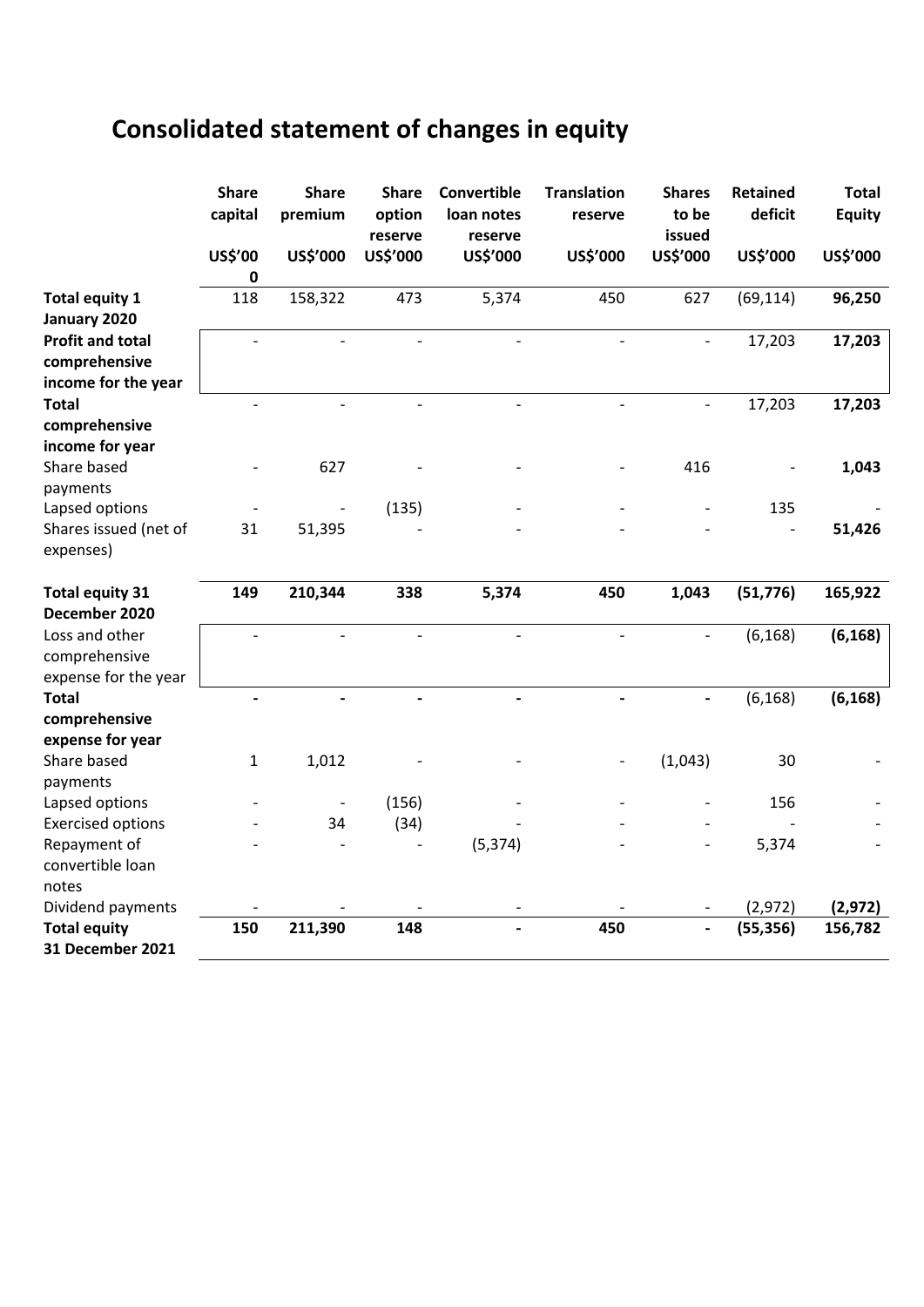# **Consolidated statement of changes in equity**

|                                                                 | <b>Share</b><br>capital | <b>Share</b><br>premium | <b>Share</b><br>option<br>reserve | Convertible<br>loan notes<br>reserve | <b>Translation</b><br>reserve | <b>Shares</b><br>to be<br>issued | <b>Retained</b><br>deficit | <b>Total</b><br><b>Equity</b> |
|-----------------------------------------------------------------|-------------------------|-------------------------|-----------------------------------|--------------------------------------|-------------------------------|----------------------------------|----------------------------|-------------------------------|
|                                                                 | US\$'00                 | US\$'000                | US\$'000                          | US\$'000                             | US\$'000                      | US\$'000                         | US\$'000                   | US\$'000                      |
| <b>Total equity 1</b><br>January 2020                           | 0<br>118                | 158,322                 | 473                               | 5,374                                | 450                           | 627                              | (69, 114)                  | 96,250                        |
| <b>Profit and total</b><br>comprehensive<br>income for the year |                         |                         | $\overline{\phantom{a}}$          |                                      | $\overline{\phantom{a}}$      |                                  | 17,203                     | 17,203                        |
| <b>Total</b><br>comprehensive<br>income for year                |                         | $\frac{1}{2}$           | $\overline{\phantom{a}}$          | $\overline{\phantom{0}}$             | $\overline{\phantom{a}}$      | $\overline{\phantom{a}}$         | 17,203                     | 17,203                        |
| Share based<br>payments                                         |                         | 627                     |                                   |                                      |                               | 416                              |                            | 1,043                         |
| Lapsed options<br>Shares issued (net of<br>expenses)            | 31                      | 51,395                  | (135)                             |                                      |                               |                                  | 135                        | 51,426                        |
| <b>Total equity 31</b><br>December 2020                         | 149                     | 210,344                 | 338                               | 5,374                                | 450                           | 1,043                            | (51, 776)                  | 165,922                       |
| Loss and other<br>comprehensive<br>expense for the year         |                         |                         | $\overline{\phantom{a}}$          |                                      | $\overline{\phantom{a}}$      | $\overline{\phantom{a}}$         | (6, 168)                   | (6, 168)                      |
| <b>Total</b><br>comprehensive                                   |                         |                         |                                   |                                      |                               |                                  | (6, 168)                   | (6, 168)                      |
| expense for year<br>Share based<br>payments                     | 1                       | 1,012                   |                                   |                                      |                               | (1,043)                          | 30                         |                               |
| Lapsed options                                                  |                         |                         | (156)                             |                                      |                               |                                  | 156                        |                               |
| <b>Exercised options</b>                                        |                         | 34                      | (34)                              |                                      |                               |                                  |                            |                               |
| Repayment of<br>convertible loan                                |                         |                         |                                   | (5, 374)                             |                               |                                  | 5,374                      |                               |
| notes<br>Dividend payments                                      |                         |                         |                                   |                                      |                               |                                  | (2,972)                    | (2, 972)                      |
| <b>Total equity</b><br>31 December 2021                         | 150                     | 211,390                 | 148                               |                                      | 450                           | $\overline{\phantom{0}}$         | (55, 356)                  | 156,782                       |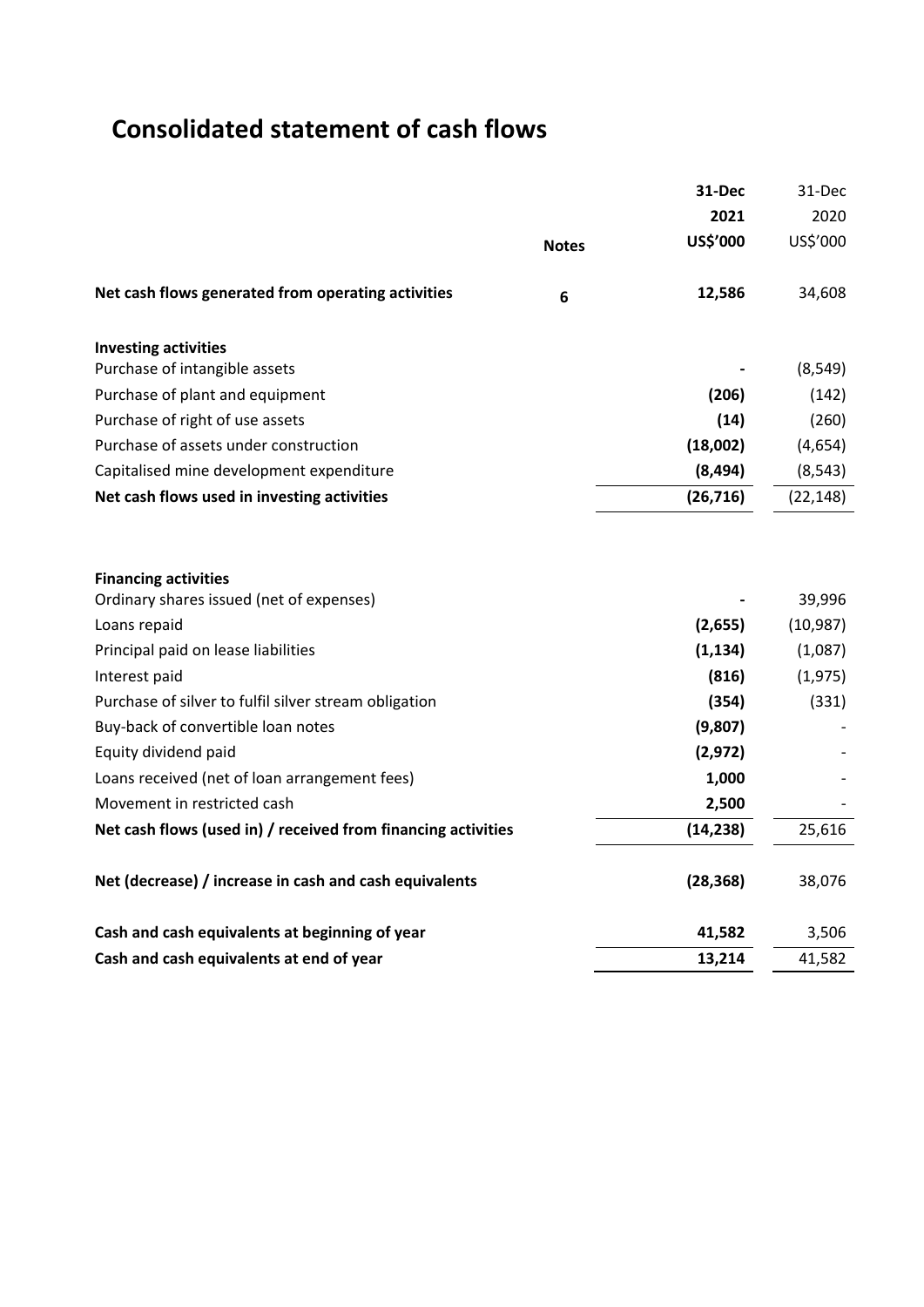# **Consolidated statement of cash flows**

|                                                               |                 | 31-Dec    | 31-Dec    |
|---------------------------------------------------------------|-----------------|-----------|-----------|
|                                                               |                 | 2021      | 2020      |
|                                                               | <b>Notes</b>    | US\$'000  | US\$'000  |
| Net cash flows generated from operating activities            | $6\phantom{1}6$ | 12,586    | 34,608    |
| <b>Investing activities</b>                                   |                 |           |           |
| Purchase of intangible assets                                 |                 |           | (8, 549)  |
| Purchase of plant and equipment                               |                 | (206)     | (142)     |
| Purchase of right of use assets                               |                 | (14)      | (260)     |
| Purchase of assets under construction                         |                 | (18,002)  | (4,654)   |
| Capitalised mine development expenditure                      |                 | (8, 494)  | (8, 543)  |
| Net cash flows used in investing activities                   |                 | (26, 716) | (22, 148) |
|                                                               |                 |           |           |
| <b>Financing activities</b>                                   |                 |           |           |
| Ordinary shares issued (net of expenses)                      |                 |           | 39,996    |
| Loans repaid                                                  |                 | (2,655)   | (10, 987) |
| Principal paid on lease liabilities                           |                 | (1, 134)  | (1,087)   |
| Interest paid                                                 |                 | (816)     | (1, 975)  |
| Purchase of silver to fulfil silver stream obligation         |                 | (354)     | (331)     |
| Buy-back of convertible loan notes                            |                 | (9,807)   |           |
| Equity dividend paid                                          |                 | (2, 972)  |           |
| Loans received (net of loan arrangement fees)                 |                 | 1,000     |           |
| Movement in restricted cash                                   |                 | 2,500     |           |
| Net cash flows (used in) / received from financing activities |                 | (14, 238) | 25,616    |
| Net (decrease) / increase in cash and cash equivalents        |                 | (28, 368) | 38,076    |
| Cash and cash equivalents at beginning of year                |                 | 41,582    | 3,506     |
| Cash and cash equivalents at end of year                      |                 | 13,214    | 41,582    |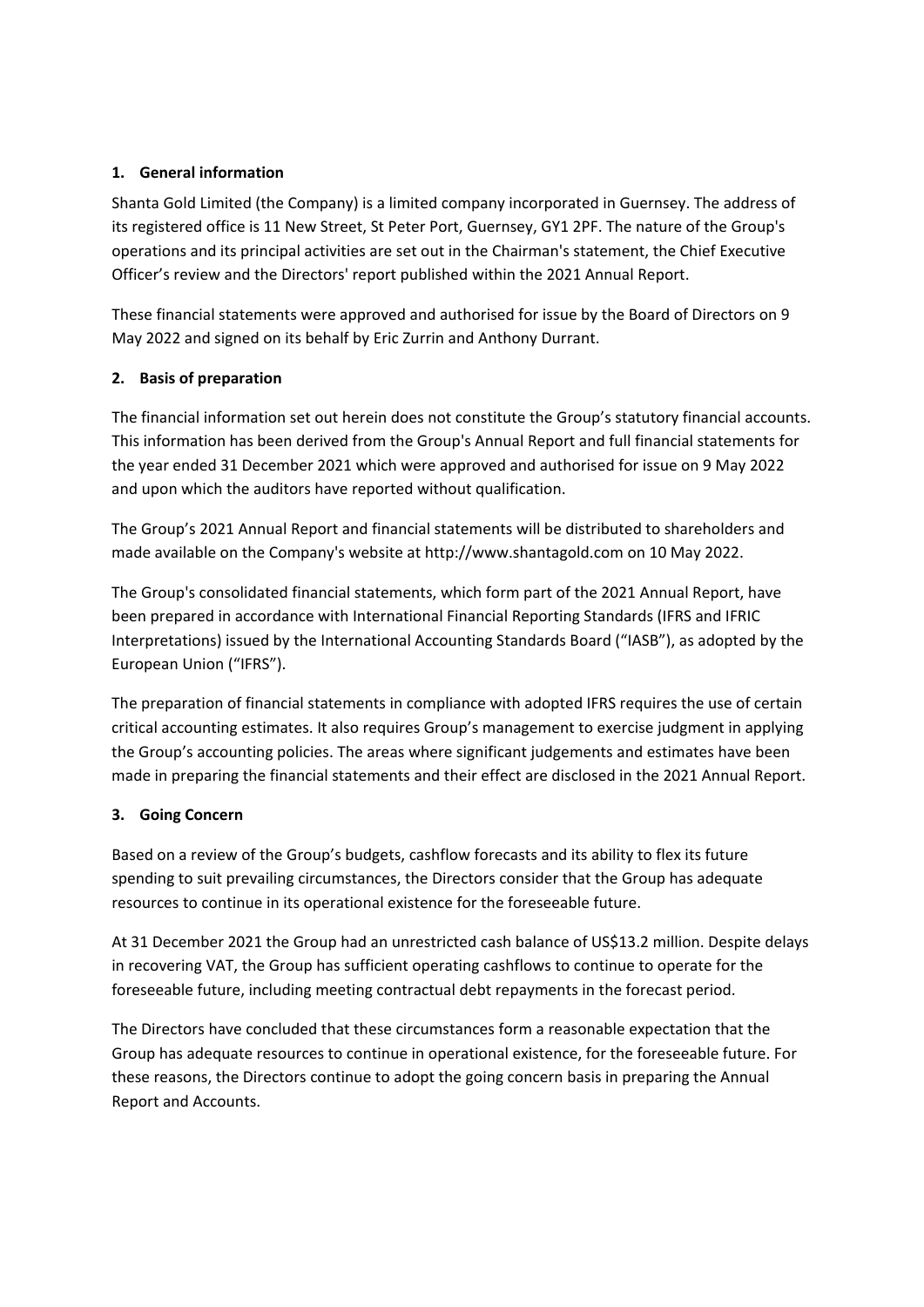## **1. General information**

Shanta Gold Limited (the Company) is a limited company incorporated in Guernsey. The address of its registered office is 11 New Street, St Peter Port, Guernsey, GY1 2PF. The nature of the Group's operations and its principal activities are set out in the Chairman's statement, the Chief Executive Officer's review and the Directors' report published within the 2021 Annual Report.

These financial statements were approved and authorised for issue by the Board of Directors on 9 May 2022 and signed on its behalf by Eric Zurrin and Anthony Durrant.

## **2. Basis of preparation**

The financial information set out herein does not constitute the Group's statutory financial accounts. This information has been derived from the Group's Annual Report and full financial statements for the year ended 31 December 2021 which were approved and authorised for issue on 9 May 2022 and upon which the auditors have reported without qualification.

The Group's 2021 Annual Report and financial statements will be distributed to shareholders and made available on the Company's website at http://www.shantagold.com on 10 May 2022.

The Group's consolidated financial statements, which form part of the 2021 Annual Report, have been prepared in accordance with International Financial Reporting Standards (IFRS and IFRIC Interpretations) issued by the International Accounting Standards Board ("IASB"), as adopted by the European Union ("IFRS").

The preparation of financial statements in compliance with adopted IFRS requires the use of certain critical accounting estimates. It also requires Group's management to exercise judgment in applying the Group's accounting policies. The areas where significant judgements and estimates have been made in preparing the financial statements and their effect are disclosed in the 2021 Annual Report.

## **3. Going Concern**

Based on a review of the Group's budgets, cashflow forecasts and its ability to flex its future spending to suit prevailing circumstances, the Directors consider that the Group has adequate resources to continue in its operational existence for the foreseeable future.

At 31 December 2021 the Group had an unrestricted cash balance of US\$13.2 million. Despite delays in recovering VAT, the Group has sufficient operating cashflows to continue to operate for the foreseeable future, including meeting contractual debt repayments in the forecast period.

The Directors have concluded that these circumstances form a reasonable expectation that the Group has adequate resources to continue in operational existence, for the foreseeable future. For these reasons, the Directors continue to adopt the going concern basis in preparing the Annual Report and Accounts.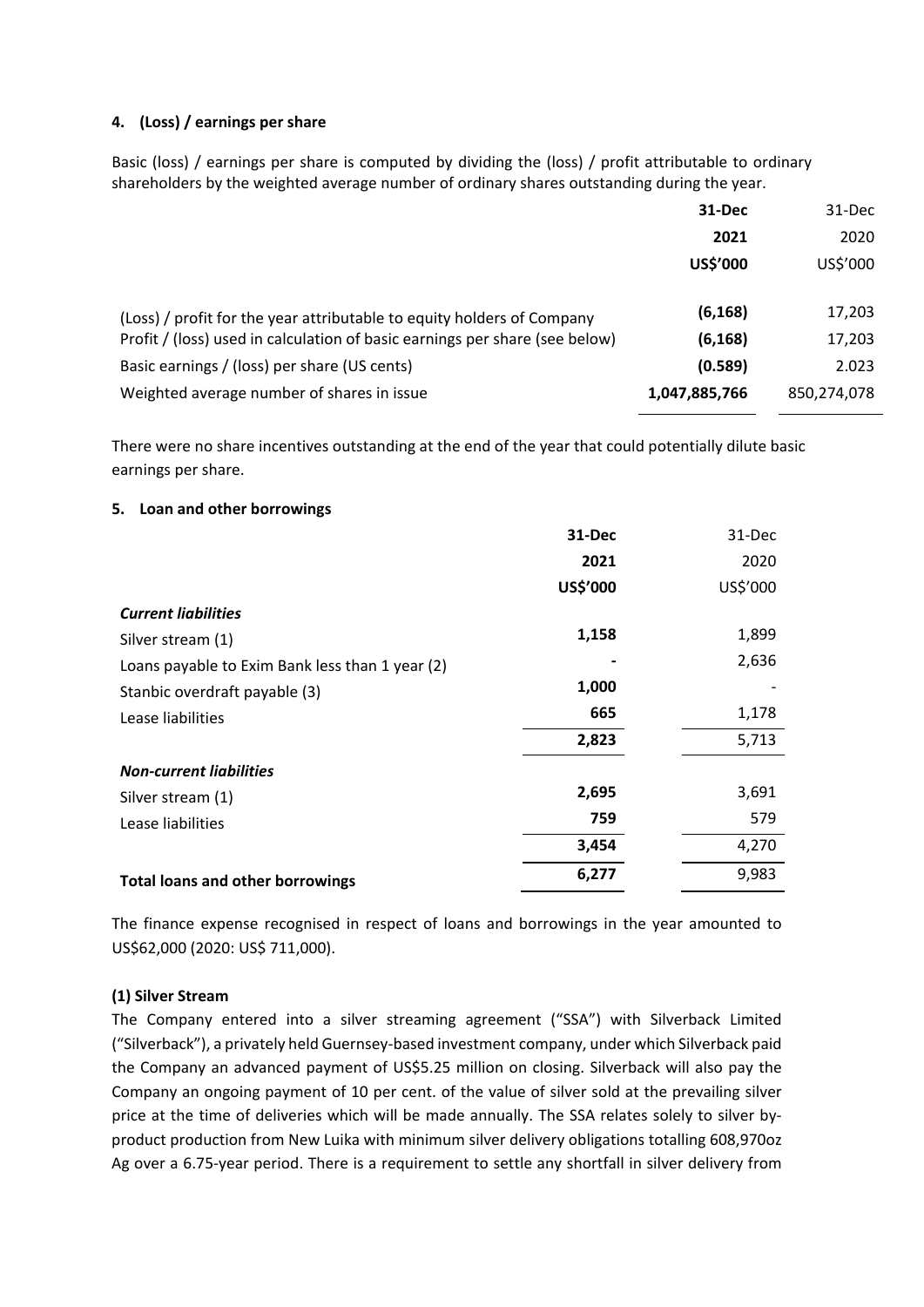#### **4. (Loss) / earnings per share**

Basic (loss) / earnings per share is computed by dividing the (loss) / profit attributable to ordinary shareholders by the weighted average number of ordinary shares outstanding during the year.

|                                                                             | 31-Dec        | 31-Dec      |
|-----------------------------------------------------------------------------|---------------|-------------|
|                                                                             | 2021          | 2020        |
|                                                                             | US\$'000      | US\$'000    |
|                                                                             |               |             |
| (Loss) / profit for the year attributable to equity holders of Company      | (6, 168)      | 17,203      |
| Profit / (loss) used in calculation of basic earnings per share (see below) | (6, 168)      | 17,203      |
| Basic earnings / (loss) per share (US cents)                                | (0.589)       | 2.023       |
| Weighted average number of shares in issue                                  | 1,047,885,766 | 850,274,078 |
|                                                                             |               |             |

There were no share incentives outstanding at the end of the year that could potentially dilute basic earnings per share.

#### **5. Loan and other borrowings**

|                                                 | 31-Dec   | 31-Dec   |
|-------------------------------------------------|----------|----------|
|                                                 | 2021     | 2020     |
|                                                 | US\$'000 | US\$'000 |
| <b>Current liabilities</b>                      |          |          |
| Silver stream (1)                               | 1,158    | 1,899    |
| Loans payable to Exim Bank less than 1 year (2) |          | 2,636    |
| Stanbic overdraft payable (3)                   | 1,000    |          |
| Lease liabilities                               | 665      | 1,178    |
|                                                 | 2,823    | 5,713    |
| <b>Non-current liabilities</b>                  |          |          |
| Silver stream (1)                               | 2,695    | 3,691    |
| Lease liabilities                               | 759      | 579      |
|                                                 | 3,454    | 4,270    |
| <b>Total loans and other borrowings</b>         | 6,277    | 9,983    |
|                                                 |          |          |

The finance expense recognised in respect of loans and borrowings in the year amounted to US\$62,000 (2020: US\$ 711,000).

## **(1) Silver Stream**

The Company entered into a silver streaming agreement ("SSA") with Silverback Limited ("Silverback"), a privately held Guernsey-based investment company, under which Silverback paid the Company an advanced payment of US\$5.25 million on closing. Silverback will also pay the Company an ongoing payment of 10 per cent. of the value of silver sold at the prevailing silver price at the time of deliveries which will be made annually. The SSA relates solely to silver byproduct production from New Luika with minimum silver delivery obligations totalling 608,970oz Ag over a 6.75-year period. There is a requirement to settle any shortfall in silver delivery from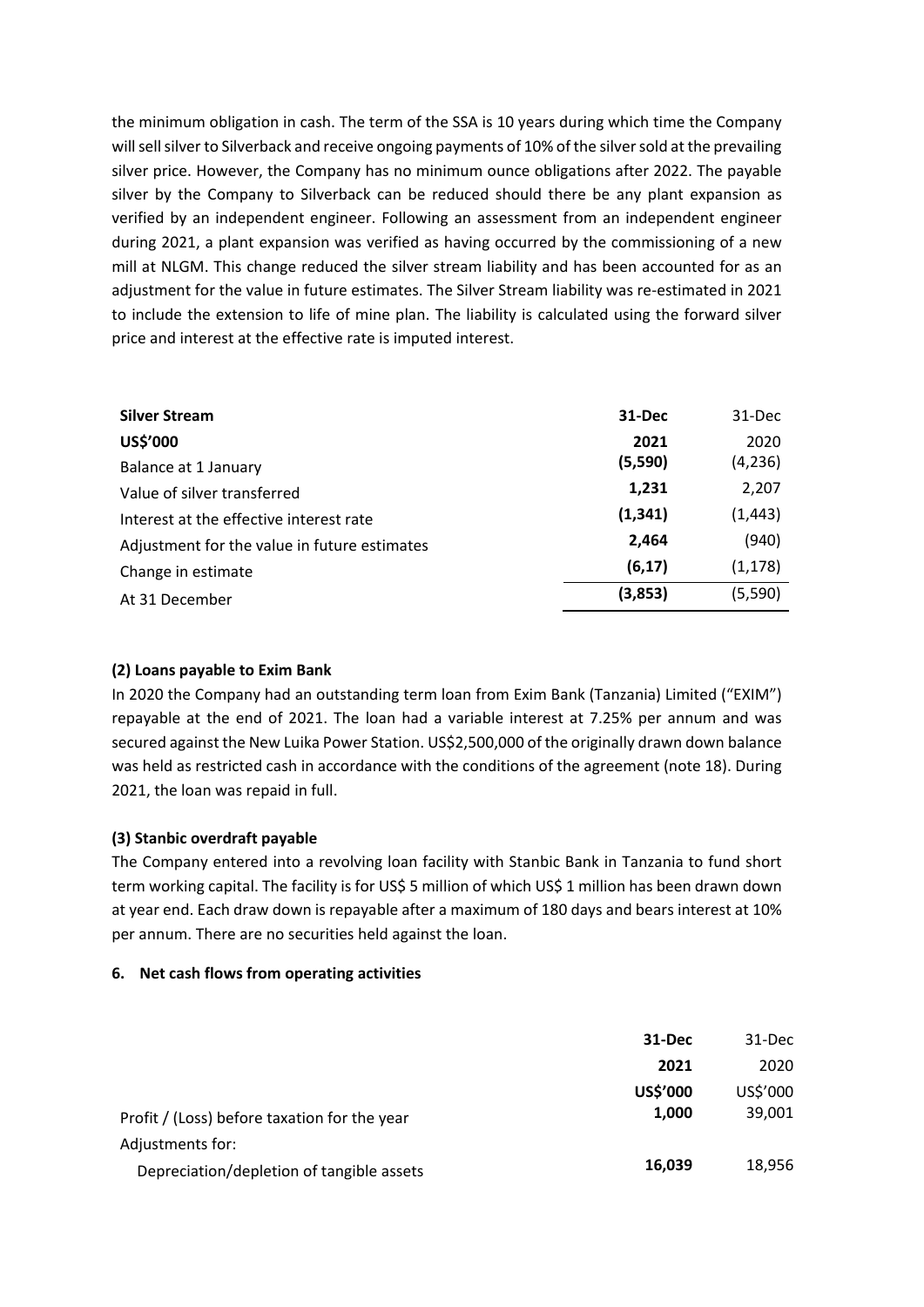the minimum obligation in cash. The term of the SSA is 10 years during which time the Company will sell silver to Silverback and receive ongoing payments of 10% of the silver sold at the prevailing silver price. However, the Company has no minimum ounce obligations after 2022. The payable silver by the Company to Silverback can be reduced should there be any plant expansion as verified by an independent engineer. Following an assessment from an independent engineer during 2021, a plant expansion was verified as having occurred by the commissioning of a new mill at NLGM. This change reduced the silver stream liability and has been accounted for as an adjustment for the value in future estimates. The Silver Stream liability was re-estimated in 2021 to include the extension to life of mine plan. The liability is calculated using the forward silver price and interest at the effective rate is imputed interest.

| <b>Silver Stream</b>                         | 31-Dec   | 31-Dec   |
|----------------------------------------------|----------|----------|
| US\$'000                                     | 2021     | 2020     |
| Balance at 1 January                         | (5,590)  | (4, 236) |
| Value of silver transferred                  | 1,231    | 2,207    |
| Interest at the effective interest rate      | (1, 341) | (1, 443) |
| Adjustment for the value in future estimates | 2,464    | (940)    |
| Change in estimate                           | (6, 17)  | (1, 178) |
| At 31 December                               | (3,853)  | (5,590)  |

#### **(2) Loans payable to Exim Bank**

In 2020 the Company had an outstanding term loan from Exim Bank (Tanzania) Limited ("EXIM") repayable at the end of 2021. The loan had a variable interest at 7.25% per annum and was secured against the New Luika Power Station. US\$2,500,000 of the originally drawn down balance was held as restricted cash in accordance with the conditions of the agreement (note 18). During 2021, the loan was repaid in full.

## **(3) Stanbic overdraft payable**

The Company entered into a revolving loan facility with Stanbic Bank in Tanzania to fund short term working capital. The facility is for US\$ 5 million of which US\$ 1 million has been drawn down at year end. Each draw down is repayable after a maximum of 180 days and bears interest at 10% per annum. There are no securities held against the loan.

#### **6. Net cash flows from operating activities**

| 31-Dec   | 31-Dec   |
|----------|----------|
| 2021     | 2020     |
| US\$'000 | US\$'000 |
| 1,000    | 39,001   |
|          |          |
| 16,039   | 18,956   |
|          |          |